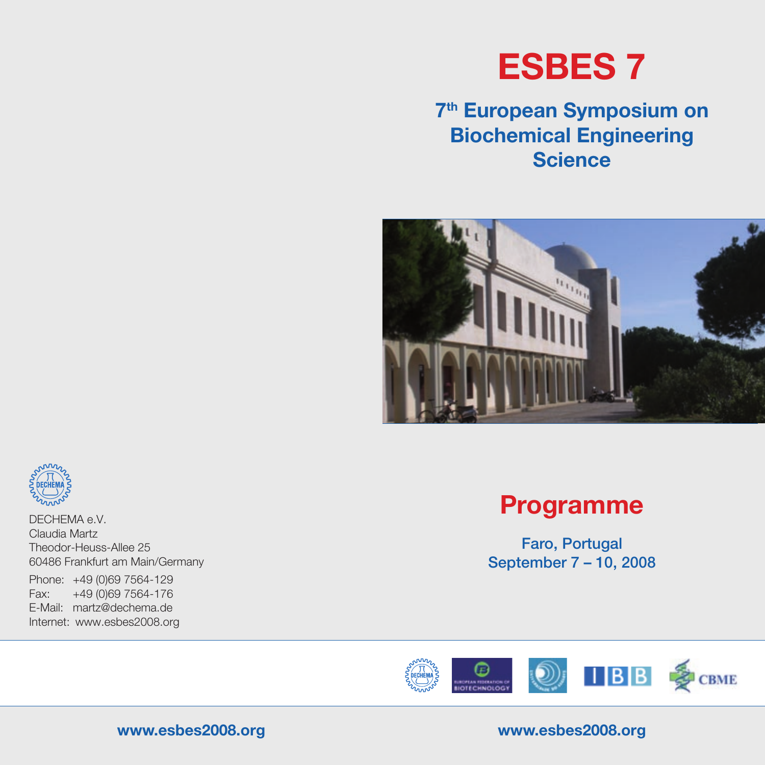# **ESBES 7**

## **7th European Symposium on Biochemical Engineering Science**





DECHEMA e.V. Claudia Martz Theodor-Heuss-Allee 25 60486 Frankfurt am Main/Germany

Phone: +49 (0)69 7564-129 Fax: +49 (0)69 7564-176 E-Mail: martz@dechema.de Internet: www.esbes2008.org

## **Programme**

Faro, Portugal September 7 – 10, 2008



#### **www.esbes2008.org www.esbes2008.org**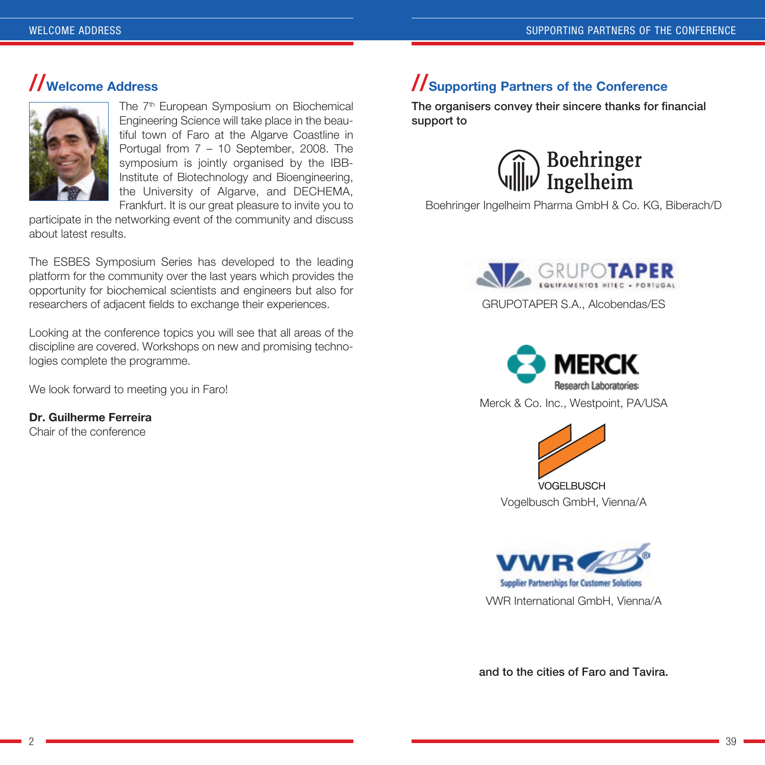### **//Welcome Address**



The 7<sup>th</sup> European Symposium on Biochemical Engineering Science will take place in the beautiful town of Faro at the Algarve Coastline in Portugal from 7 – 10 September, 2008. The symposium is jointly organised by the IBB-Institute of Biotechnology and Bioengineering, the University of Algarve, and DECHEMA, Frankfurt. It is our great pleasure to invite you to

participate in the networking event of the community and discuss about latest results.

The ESBES Symposium Series has developed to the leading platform for the community over the last years which provides the opportunity for biochemical scientists and engineers but also for researchers of adjacent fields to exchange their experiences.

Looking at the conference topics you will see that all areas of the discipline are covered. Workshops on new and promising technologies complete the programme.

We look forward to meeting you in Faro!

**Dr. Guilherme Ferreira** Chair of the conference

### **//Supporting Partners of the Conference**

The organisers convey their sincere thanks for financial support to



Boehringer Ingelheim Pharma GmbH & Co. KG, Biberach/D









**Supplier Partnerships for Customer Solutions** VWR International GmbH, Vienna/A

and to the cities of Faro and Tavira.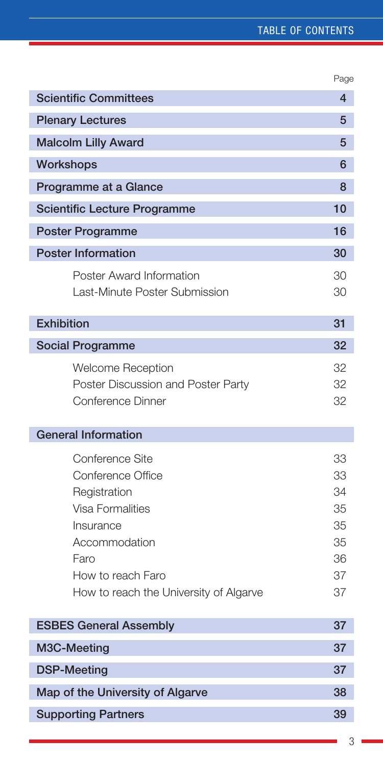#### Table of contents

|                                                                                                                                                                               | Page                                               |
|-------------------------------------------------------------------------------------------------------------------------------------------------------------------------------|----------------------------------------------------|
| <b>Scientific Committees</b>                                                                                                                                                  | $\overline{4}$                                     |
| <b>Plenary Lectures</b>                                                                                                                                                       | 5                                                  |
| <b>Malcolm Lilly Award</b>                                                                                                                                                    | 5                                                  |
| Workshops                                                                                                                                                                     | 6                                                  |
| Programme at a Glance                                                                                                                                                         | 8                                                  |
| <b>Scientific Lecture Programme</b>                                                                                                                                           | 10                                                 |
| <b>Poster Programme</b>                                                                                                                                                       | 16                                                 |
| <b>Poster Information</b>                                                                                                                                                     | 30                                                 |
| Poster Award Information<br>Last-Minute Poster Submission                                                                                                                     | 30<br>30                                           |
| <b>Exhibition</b>                                                                                                                                                             | 31                                                 |
| <b>Social Programme</b>                                                                                                                                                       | 32                                                 |
| <b>Welcome Reception</b><br>Poster Discussion and Poster Party<br>Conference Dinner                                                                                           | 32<br>32<br>32                                     |
| <b>General Information</b>                                                                                                                                                    |                                                    |
| Conference Site<br>Conference Office<br>Registration<br>Visa Formalities<br>Insurance<br>Accommodation<br>Faro<br>How to reach Faro<br>How to reach the University of Algarve | 33<br>33<br>34<br>35<br>35<br>35<br>36<br>37<br>37 |
| <b>ESBES General Assembly</b>                                                                                                                                                 | 37                                                 |
| M3C-Meeting                                                                                                                                                                   | 37                                                 |
| <b>DSP-Meeting</b>                                                                                                                                                            | 37                                                 |
| Map of the University of Algarve                                                                                                                                              | 38                                                 |
| <b>Supporting Partners</b>                                                                                                                                                    | 39                                                 |
|                                                                                                                                                                               |                                                    |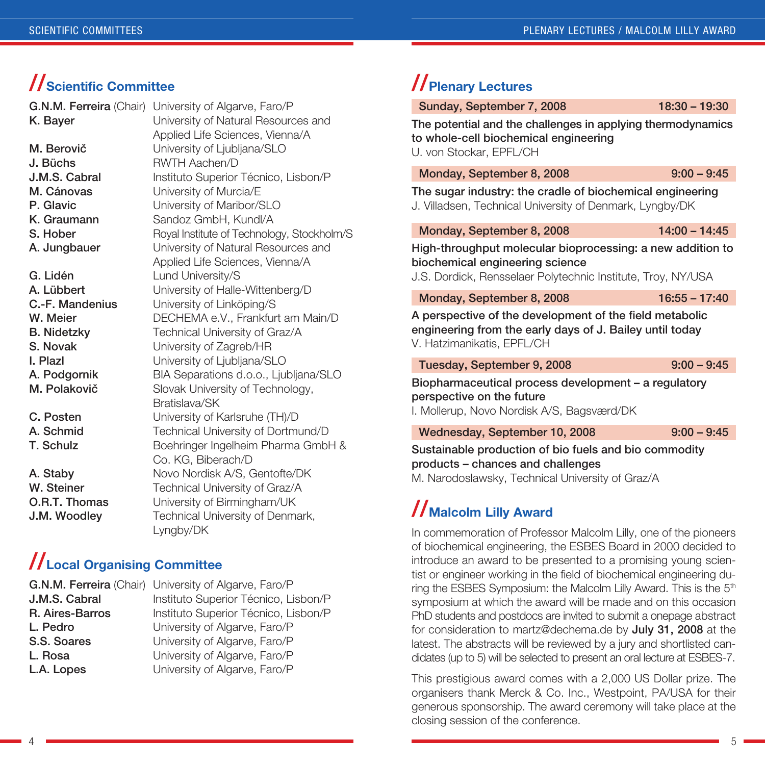### **//Scientific Committee**

| G.N.M. Ferreira (Chair) | University of Algarve, Faro/P              |
|-------------------------|--------------------------------------------|
| K. Bayer                | University of Natural Resources and        |
|                         | Applied Life Sciences, Vienna/A            |
| M. Berovič              | University of Ljubljana/SLO                |
| J. Büchs                | <b>RWTH Aachen/D</b>                       |
| J.M.S. Cabral           | Instituto Superior Técnico, Lisbon/P       |
| M. Cánovas              | University of Murcia/E                     |
| P. Glavic               | University of Maribor/SLO                  |
| K. Graumann             | Sandoz GmbH, Kundl/A                       |
| S. Hober                | Royal Institute of Technology, Stockholm/S |
| A. Jungbauer            | University of Natural Resources and        |
|                         | Applied Life Sciences, Vienna/A            |
| G. Lidén                | Lund University/S                          |
| A. Lübbert              | University of Halle-Wittenberg/D           |
| C.-F. Mandenius         | University of Linköping/S                  |
| W. Meier                | DECHEMA e.V., Frankfurt am Main/D          |
| <b>B.</b> Nidetzky      | Technical University of Graz/A             |
| S. Novak                | University of Zagreb/HR                    |
| I. Plazl                | University of Ljubljana/SLO                |
| A. Podgornik            | BIA Separations d.o.o., Ljubljana/SLO      |
| M. Polakovič            | Slovak University of Technology,           |
|                         | Bratislava/SK                              |
| C. Posten               | University of Karlsruhe (TH)/D             |
| A. Schmid               | Technical University of Dortmund/D         |
| T. Schulz               | Boehringer Ingelheim Pharma GmbH &         |
|                         | Co. KG, Biberach/D                         |
| A. Stabv                | Novo Nordisk A/S, Gentofte/DK              |
| W. Steiner              | Technical University of Graz/A             |
| O.R.T. Thomas           | University of Birmingham/UK                |
| J.M. Woodley            | Technical University of Denmark,           |
|                         | Lyngby/DK                                  |

### **//Local Organising Committee**

|                 | <b>G.N.M. Ferreira</b> (Chair) University of Algarve, Faro/P |
|-----------------|--------------------------------------------------------------|
| J.M.S. Cabral   | Instituto Superior Técnico, Lisbon/P                         |
| R. Aires-Barros | Instituto Superior Técnico, Lisbon/P                         |
| L. Pedro        | University of Algarve, Faro/P                                |
| S.S. Soares     | University of Algarve, Faro/P                                |
| L. Rosa         | University of Algarve, Faro/P                                |
| L.A. Lopes      | University of Algarve, Faro/P                                |
|                 |                                                              |

## **//Plenary Lectures**

Sunday, September 7, 2008 18:30 - 19:30

The potential and the challenges in applying thermodynamics to whole-cell biochemical engineering U. von Stockar, EPFL/CH

Monday, September 8, 2008 9:00 – 9:45

The sugar industry: the cradle of biochemical engineering J. Villadsen, Technical University of Denmark, Lyngby/DK

Monday, September 8, 2008 14:00 - 14:45

High-throughput molecular bioprocessing: a new addition to biochemical engineering science

J.S. Dordick, Rensselaer Polytechnic Institute, Troy, NY/USA

Monday, September 8, 2008 16:55 – 17:40

A perspective of the development of the field metabolic engineering from the early days of J. Bailey until today V. Hatzimanikatis, EPFL/CH

Tuesday, September 9, 2008 9:00 – 9:45

Biopharmaceutical process development – a regulatory perspective on the future

I. Mollerup, Novo Nordisk A/S, Bagsværd/DK

Wednesday, September 10, 2008 9:00 - 9:45

Sustainable production of bio fuels and bio commodity products – chances and challenges M. Narodoslawsky, Technical University of Graz/A

## **//Malcolm Lilly Award**

In commemoration of Professor Malcolm Lilly, one of the pioneers of biochemical engineering, the ESBES Board in 2000 decided to introduce an award to be presented to a promising young scientist or engineer working in the field of biochemical engineering during the ESBES Symposium: the Malcolm Lilly Award. This is the 5<sup>th</sup> symposium at which the award will be made and on this occasion PhD students and postdocs are invited to submit a onepage abstract for consideration to martz@dechema.de by July 31, 2008 at the latest. The abstracts will be reviewed by a jury and shortlisted candidates (up to 5) will be selected to present an oral lecture at ESBES-7.

This prestigious award comes with a 2,000 US Dollar prize. The organisers thank Merck & Co. Inc., Westpoint, PA/USA for their generous sponsorship. The award ceremony will take place at the closing session of the conference.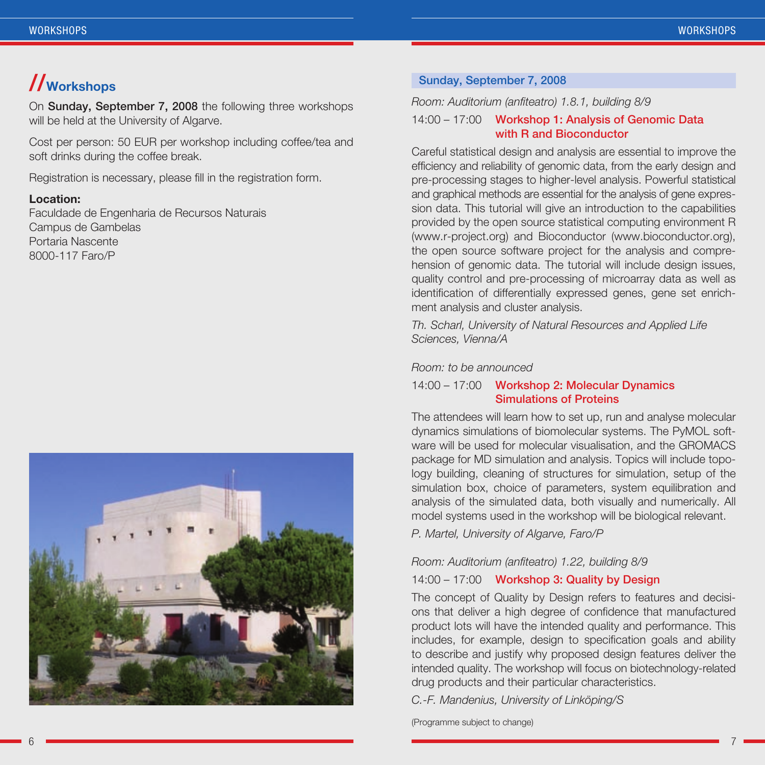## **//Workshops**

On Sunday, September 7, 2008 the following three workshops will be held at the University of Algarve.

Cost per person: 50 EUR per workshop including coffee/tea and soft drinks during the coffee break.

Registration is necessary, please fill in the registration form.

#### **Location:**

Faculdade de Engenharia de Recursos Naturais Campus de Gambelas Portaria Nascente 8000-117 Faro/P



#### Sunday, September 7, 2008

*Room: Auditorium (anfiteatro) 1.8.1, building 8/9*

#### 14:00 – 17:00 Workshop 1: Analysis of Genomic Data with R and Bioconductor

Careful statistical design and analysis are essential to improve the efficiency and reliability of genomic data, from the early design and pre-processing stages to higher-level analysis. Powerful statistical and graphical methods are essential for the analysis of gene expression data. This tutorial will give an introduction to the capabilities provided by the open source statistical computing environment R (www.r-project.org) and Bioconductor (www.bioconductor.org), the open source software project for the analysis and comprehension of genomic data. The tutorial will include design issues, quality control and pre-processing of microarray data as well as identification of differentially expressed genes, gene set enrichment analysis and cluster analysis.

*Th. Scharl, University of Natural Resources and Applied Life Sciences, Vienna/A*

#### *Room: to be announced*

#### 14:00 – 17:00 Workshop 2: Molecular Dynamics Simulations of Proteins

The attendees will learn how to set up, run and analyse molecular dynamics simulations of biomolecular systems. The PyMOL software will be used for molecular visualisation, and the GROMACS package for MD simulation and analysis. Topics will include topology building, cleaning of structures for simulation, setup of the simulation box, choice of parameters, system equilibration and analysis of the simulated data, both visually and numerically. All model systems used in the workshop will be biological relevant.

*P. Martel, University of Algarve, Faro/P*

#### *Room: Auditorium (anfiteatro) 1.22, building 8/9*

#### 14:00 – 17:00 Workshop 3: Quality by Design

The concept of Quality by Design refers to features and decisions that deliver a high degree of confidence that manufactured product lots will have the intended quality and performance. This includes, for example, design to specification goals and ability to describe and justify why proposed design features deliver the intended quality. The workshop will focus on biotechnology-related drug products and their particular characteristics.

*C.-F. Mandenius, University of Linköping/S*

(Programme subject to change)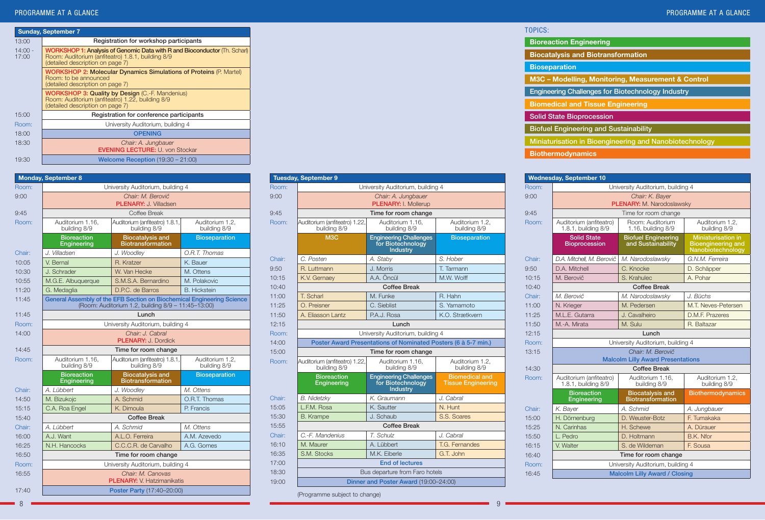|                    | <b>Sunday, September 7</b>                                                                                                                                         |  |  |  |
|--------------------|--------------------------------------------------------------------------------------------------------------------------------------------------------------------|--|--|--|
| 13:00              | Registration for workshop participants                                                                                                                             |  |  |  |
| $14:00 -$<br>17:00 | WORKSHOP 1: Analysis of Genomic Data with R and Bioconductor (Th. Scharl)<br>Room: Auditorium (anfiteatro) 1.8.1, building 8/9<br>(detailed description on page 7) |  |  |  |
|                    | <b>WORKSHOP 2: Molecular Dynamics Simulations of Proteins (P. Martel)</b><br>Room: to be announced<br>(detailed description on page 7)                             |  |  |  |
|                    | <b>WORKSHOP 3: Quality by Design (C.-F. Mandenius)</b><br>Room: Auditorium (anfiteatro) 1.22, building 8/9<br>(detailed description on page 7)                     |  |  |  |
| 15:00              | Registration for conference participants                                                                                                                           |  |  |  |
| Room:              | University Auditorium, building 4                                                                                                                                  |  |  |  |
| 18:00              | <b>OPENING</b>                                                                                                                                                     |  |  |  |
| 18:30              | Chair: A. Jungbauer<br><b>EVENING LECTURE: U. von Stockar</b>                                                                                                      |  |  |  |
| 19:30              | Welcome Reception $(19:30 - 21:00)$                                                                                                                                |  |  |  |

| <b>Monday, September 8</b> |                                                                                                                              |                                                     |                                 |
|----------------------------|------------------------------------------------------------------------------------------------------------------------------|-----------------------------------------------------|---------------------------------|
| Room:                      | University Auditorium, building 4                                                                                            |                                                     |                                 |
| 9:00                       | Chair: M. Berovič<br><b>PLENARY: J. Villadsen</b>                                                                            |                                                     |                                 |
| 9:45                       |                                                                                                                              | Coffee Break                                        |                                 |
| Room:                      | Auditorium 1.16.<br>building 8/9                                                                                             | Auditorium (anfiteatro) 1.8.1.<br>building 8/9      | Auditorium 1.2.<br>building 8/9 |
|                            | <b>Bioreaction</b><br>Engineering                                                                                            | <b>Biocatalysis and</b><br><b>Biotransformation</b> | <b>Bioseparation</b>            |
| Chair:                     | J. Villadsen                                                                                                                 | J. Woodley                                          | O.R.T. Thomas                   |
| 10:05                      | V. Bernal                                                                                                                    | R. Kratzer                                          | K. Bauer                        |
| 10:30                      | J. Schrader                                                                                                                  | W. Van Hecke                                        | M. Ottens                       |
| 10:55                      | M.G.E. Albuquerque                                                                                                           | S.M.S.A. Bernardino                                 | M. Polakovic                    |
| 11:20                      | G. Medaglia                                                                                                                  | D.P.C. de Barros                                    | <b>B.</b> Hickstein             |
| 11:45                      | General Assembly of the EFB Section on Biochemical Engineering Science<br>(Room: Auditorium 1.2, building 8/9 - 11:45-13:00) |                                                     |                                 |
| 11:45                      | Lunch                                                                                                                        |                                                     |                                 |
| Room:                      | University Auditorium, building 4                                                                                            |                                                     |                                 |
| 14:00                      | Chair: J. Cabral<br><b>PLENARY: J. Dordick</b>                                                                               |                                                     |                                 |
| 14:45                      | Time for room change                                                                                                         |                                                     |                                 |
| Room:                      | Auditorium 1.16,<br>Auditorium (anfiteatro) 1.8.1,<br>Auditorium 1.2,<br>building 8/9<br>building 8/9<br>building 8/9        |                                                     |                                 |
|                            | <b>Bioreaction</b><br>Engineering                                                                                            | <b>Biocatalysis and</b><br><b>Biotransformation</b> | <b>Bioseparation</b>            |
| Chair:                     | A. Lübbert                                                                                                                   | J. Woodley                                          | M. Ottens                       |
| 14:50                      | M. Bizukojc                                                                                                                  | A. Schmid                                           | O.R.T. Thomas                   |
| 15:15                      | C.A. Roa Engel                                                                                                               | K. Dimoula                                          | P. Francis                      |
| 15:40                      |                                                                                                                              | <b>Coffee Break</b>                                 |                                 |
| Chair:                     | A. Lübbert                                                                                                                   | A. Schmid                                           | M. Ottens                       |
| 16:00                      | A.J. Want                                                                                                                    | A.L.O. Ferreira                                     | A.M. Azevedo                    |
| 16:25                      | N.H. Hancocks                                                                                                                | C.C.C.R. de Carvalho                                | A.G. Gomes                      |
| 16:50                      |                                                                                                                              | Time for room change                                |                                 |
| Room:                      |                                                                                                                              | University Auditorium, building 4                   |                                 |
| 16:55                      | Chair: M. Canovas<br><b>PLENARY:</b> V. Hatzimanikatis                                                                       |                                                     |                                 |
| 17:40                      | Poster Party (17:40-20:00)                                                                                                   |                                                     |                                 |

|        | <b>Tuesday, September 9</b>                                    |                                                                       |                                                    |
|--------|----------------------------------------------------------------|-----------------------------------------------------------------------|----------------------------------------------------|
| Room:  | University Auditorium, building 4                              |                                                                       |                                                    |
| 9:00   | Chair: A. Jungbauer                                            |                                                                       |                                                    |
|        |                                                                | <b>PLENARY: I Mollerup</b>                                            |                                                    |
| 9:45   |                                                                | Time for room change                                                  |                                                    |
| Room:  | Auditorium (anfiteatro) 1.22,<br>building 8/9                  | Auditorium 1.16.<br>building 8/9                                      | Auditorium 1.2.<br>building 8/9                    |
|        | M <sub>3</sub> C                                               | <b>Engineering Challenges</b><br>for Biotechnology<br><b>Industry</b> | <b>Bioseparation</b>                               |
| Chair: | C. Posten                                                      | A. Stabv                                                              | S. Hober                                           |
| 9:50   | R. Luttmann                                                    | J. Morris                                                             | T. Tarmann                                         |
| 10:15  | K.V. Gernaey                                                   | A.A. Öncül                                                            | M.W. Wolff                                         |
| 10:40  |                                                                | <b>Coffee Break</b>                                                   |                                                    |
| 11:00  | T. Scharl                                                      | M. Funke                                                              | R. Hahn                                            |
| 11:25  | O. Preisner                                                    | C. Sieblist                                                           | S. Yamamoto                                        |
| 11:50  | A. Fliasson Lantz                                              | P.A.J. Rosa                                                           | K.O. Strætkvern                                    |
| 12:15  | Lunch                                                          |                                                                       |                                                    |
| Room:  | University Auditorium, building 4                              |                                                                       |                                                    |
| 14:00  | Poster Award Presentations of Nominated Posters (6 à 5-7 min.) |                                                                       |                                                    |
| 15:00  | Time for room change                                           |                                                                       |                                                    |
| Room:  | Auditorium (anfiteatro) 1.22,<br>building 8/9                  | Auditorium 1.16,<br>building 8/9                                      | Auditorium 1.2,<br>building 8/9                    |
|        | <b>Bioreaction</b><br>Engineering                              | <b>Engineering Challenges</b><br>for Biotechnology<br>Industry        | <b>Biomedical and</b><br><b>Tissue Engineering</b> |
| Chair: | B. Nidetzky                                                    | K. Graumann                                                           | J. Cabral                                          |
| 15:05  | L.F.M. Rosa                                                    | K. Sautter                                                            | N. Hunt                                            |
| 15:30  | <b>B.</b> Krampe                                               | J. Schaub                                                             | S.S. Soares                                        |
| 15:55  | <b>Coffee Break</b>                                            |                                                                       |                                                    |
| Chair: | C.-F. Mandenius                                                | T. Schulz                                                             | J. Cabral                                          |
| 16:10  | M. Maurer                                                      | A. Lübbert                                                            | T.G. Fernandes                                     |
| 16:35  | S.M. Stocks                                                    | M.K. Fiberle                                                          | G.T. John                                          |
| 17:00  |                                                                | <b>End of lectures</b>                                                |                                                    |
| 18:30  | Bus departure from Faro hotels                                 |                                                                       |                                                    |
| 19:00  | Dinner and Poster Award (19:00-24:00)                          |                                                                       |                                                    |

| (Programme subject to change) |  |  |
|-------------------------------|--|--|
|-------------------------------|--|--|

| TOPICS:                                                  |
|----------------------------------------------------------|
| <b>Bioreaction Engineering</b>                           |
| <b>Biocatalysis and Biotransformation</b>                |
| <b>Bioseparation</b>                                     |
| M3C - Modelling, Monitoring, Measurement & Control       |
| <b>Engineering Challenges for Biotechnology Industry</b> |
| <b>Biomedical and Tissue Engineering</b>                 |
| <b>Solid State Bioprocession</b>                         |
| <b>Biofuel Engineering and Sustainability</b>            |
| Miniaturisation in Bioengineering and Nanobiotechnology  |
| <b>Biothermodynamics</b>                                 |

| <b>Wednesday, September 10</b> |                                                |                                                               |                                                                             |
|--------------------------------|------------------------------------------------|---------------------------------------------------------------|-----------------------------------------------------------------------------|
| Room:                          | University Auditorium, building 4              |                                                               |                                                                             |
| 9:00                           |                                                | Chair: K. Baver                                               |                                                                             |
|                                |                                                | PLENARY: M. Narodoslawsky                                     |                                                                             |
| 9:45                           |                                                | Time for room change                                          |                                                                             |
| Room:                          | Auditorium (anfiteatro)<br>1.8.1, building 8/9 | Room: Auditorium<br>1.16, building 8/9                        | Auditorium 1.2,<br>building 8/9                                             |
|                                | <b>Solid State</b><br><b>Bioprocession</b>     | <b>Biofuel Engineering</b><br>and Sustainability              | <b>Miniaturisation in</b><br><b>Bioengineering and</b><br>Nanobiotechnology |
| Chair:                         | D.A. Mitchell. M. Berovič                      | M. Narodoslawsky                                              | G.N.M. Ferreira                                                             |
| 9:50                           | D.A. Mitchell                                  | C. Knocke                                                     | D. Schäpper                                                                 |
| 10:15                          | M. Berovič                                     | S. Krahulec                                                   | A. Pohar                                                                    |
| 10:40                          |                                                | <b>Coffee Break</b>                                           |                                                                             |
| Chair:                         | M. Berovič                                     | M. Narodoslawsky                                              | J. Büchs                                                                    |
| 11:00                          | N. Krieger                                     | M Pedersen                                                    | M.T. Neves-Petersen                                                         |
| 11:25                          | M.L.E. Gutarra                                 | J. Cavalheiro                                                 | D.M.F. Prazeres                                                             |
| 11:50                          | M.-A. Mirata                                   | M. Sulu                                                       | R. Baltazar                                                                 |
| 12:15                          | Lunch                                          |                                                               |                                                                             |
| Room:                          | University Auditorium, building 4              |                                                               |                                                                             |
| 13:15                          |                                                | Chair: M. Berovič<br><b>Malcolm Lilly Award Presentations</b> |                                                                             |
| 14:30                          |                                                | Coffee Break                                                  |                                                                             |
| Room:                          | Auditorium (anfiteatro)<br>1.8.1, building 8/9 | Auditorium 1.16,<br>building 8/9                              | Auditorium 1.2,<br>building 8/9                                             |
|                                | <b>Bioreaction</b><br>Engineering              | <b>Biocatalysis and</b><br><b>Biotransformation</b>           | <b>Biothermodynamics</b>                                                    |
| Chair:                         | K. Bayer                                       | A. Schmid                                                     | A. Jungbauer                                                                |
| 15:00                          | H. Dörnenburg                                  | D. Weuster-Botz                                               | F. Tumakaka                                                                 |
| 15:25                          | N. Carinhas                                    | H. Schewe                                                     | A. Dürauer                                                                  |
| 15:50                          | L. Pedro                                       | D. Holtmann                                                   | B.K. Nfor                                                                   |
| 16:15                          | V. Walter                                      | S. de Wildeman                                                | F. Sousa                                                                    |
| 16:40                          |                                                | Time for room change                                          |                                                                             |
| Room:                          | University Auditorium, building 4              |                                                               |                                                                             |
| 16:45                          | <b>Malcolm Lilly Award / Closing</b>           |                                                               |                                                                             |

8 9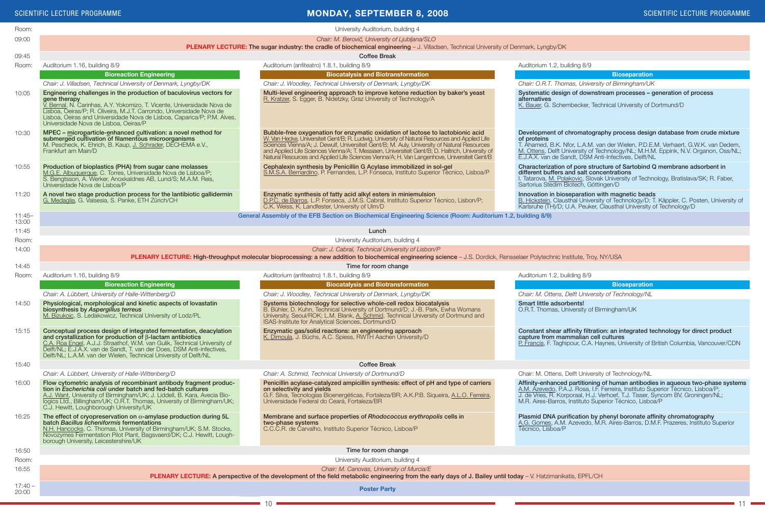#### SCIENTIFIC LECTURE PROGRAMME **SCIENTIFIC LECTURE PROGRAMME** SCIENTIFIC LECTURE PROGRAMME

 $-11$ 

| Room:              | University Auditorium, building 4                                                                                                                                                                                                                                                                                                                                  |                                                                                                                                                                                                                                                                                                                                                                                                                                                                                     |                                                                                                                                                                                                                                                                                                                            |  |
|--------------------|--------------------------------------------------------------------------------------------------------------------------------------------------------------------------------------------------------------------------------------------------------------------------------------------------------------------------------------------------------------------|-------------------------------------------------------------------------------------------------------------------------------------------------------------------------------------------------------------------------------------------------------------------------------------------------------------------------------------------------------------------------------------------------------------------------------------------------------------------------------------|----------------------------------------------------------------------------------------------------------------------------------------------------------------------------------------------------------------------------------------------------------------------------------------------------------------------------|--|
| 09:00              | Chair: M. Berovič, University of Ljubljana/SLO                                                                                                                                                                                                                                                                                                                     |                                                                                                                                                                                                                                                                                                                                                                                                                                                                                     |                                                                                                                                                                                                                                                                                                                            |  |
|                    | <b>PLENARY LECTURE: The sugar industry: the cradle of biochemical engineering - J. Villadsen, Technical University of Denmark, Lyngby/DK</b>                                                                                                                                                                                                                       |                                                                                                                                                                                                                                                                                                                                                                                                                                                                                     |                                                                                                                                                                                                                                                                                                                            |  |
| 09:45              | <b>Coffee Break</b>                                                                                                                                                                                                                                                                                                                                                |                                                                                                                                                                                                                                                                                                                                                                                                                                                                                     |                                                                                                                                                                                                                                                                                                                            |  |
| Room:              | Auditorium 1.16, building 8/9                                                                                                                                                                                                                                                                                                                                      | Auditorium (anfiteatro) 1.8.1, building 8/9                                                                                                                                                                                                                                                                                                                                                                                                                                         | Auditorium 1.2, building 8/9                                                                                                                                                                                                                                                                                               |  |
|                    | <b>Bioreaction Engineering</b>                                                                                                                                                                                                                                                                                                                                     | <b>Biocatalysis and Biotransformation</b>                                                                                                                                                                                                                                                                                                                                                                                                                                           | <b>Bioseparation</b>                                                                                                                                                                                                                                                                                                       |  |
|                    | Chair: J. Villadsen, Technical University of Denmark, Lyngby/DK                                                                                                                                                                                                                                                                                                    | Chair: J. Woodley, Technical University of Denmark, Lyngby/DK                                                                                                                                                                                                                                                                                                                                                                                                                       | Chair: O.R.T. Thomas, University of Birmingham/UK                                                                                                                                                                                                                                                                          |  |
| 10:05              | Engineering challenges in the production of baculovirus vectors for<br>gene therapy<br>V. Bernal, N. Carinhas, A.Y. Yokomizo, T. Vicente, Universidade Nova de<br>Lisboa, Oeiras/P; R. Oliveira, M.J.T. Carrondo, Universidade Nova de<br>Lisboa, Oeiras and Universidade Nova de Lisboa, Caparica/P; P.M. Alves,<br>Universidade Nova de Lisboa, Oeiras/P         | Multi-level engineering approach to improve ketone reduction by baker's yeast<br>R. Kratzer, S. Egger, B. Nidetzky, Graz University of Technology/A                                                                                                                                                                                                                                                                                                                                 | Systematic design of downstream processes - generation of process<br>alternatives<br>K. Bauer, G. Schembecker, Technical University of Dortmund/D                                                                                                                                                                          |  |
| 10:30              | MPEC - microparticle-enhanced cultivation: a novel method for<br>submerged cultivation of filamentous microorganisms<br>M. Pescheck, K. Ehrich, B. Kaup, J. Schrader, DECHEMA e.V.,<br>Frankfurt am Main/D                                                                                                                                                         | Bubble-free oxygenation for enzymatic oxidation of lactose to lactobionic acid<br>W. Van Hecke, Universiteit Gent/B; R. Ludwig, University of Natural Resources and Applied Life<br>Sciences Vienna/A; J. Dewulf, Universiteit Gent/B; M. Auly, University of Natural Resources<br>and Applied Life Sciences Vienna/A; T. Messiaen, Universiteit Gent/B; D. Haltrich, University of<br>Natural Resources and Applied Life Sciences Vienna/A; H. Van Langenhove, Universiteit Gent/B | Development of chromatography process design database from crude mixture<br>of proteins<br>T. Ahamed, B.K. Nfor, L.A.M. van der Wielen, P.D.E.M. Verhaert, G.W.K. van Dedem,<br>M. Ottens, Delft University of Technology/NL; M.H.M. Eppink, N.V. Organon, Oss/NL;<br>E.J.A.X. van de Sandt, DSM Anti-Infectives, Delft/NL |  |
| 10:55              | Production of bioplastics (PHA) from sugar cane molasses<br>M.G.E. Albuquerque, C. Torres, Universidade Nova de Lisboa/P;<br>S. Bengtsson, A. Werker, Anoxkaldnes AB, Lund/S; M.A.M. Reis,<br>Universidade Nova de Lisboa/P                                                                                                                                        | Cephalexin synthesis by Penicillin G Acylase immobilized in sol-gel<br>S.M.S.A. Bernardino, P. Fernandes, L.P. Fonseca, Instituto Superior Técnico, Lisboa/P                                                                                                                                                                                                                                                                                                                        | Characterization of pore structure of Sartobind Q membrane adsorbent in<br>different buffers and salt concentrations<br>I. Tatarova, M. Polakovic, Slovak University of Technology, Bratislava/SK; R. Faber,<br>Sartorius Stedim Biotech, Göttingen/D                                                                      |  |
| 11:20              | A novel two stage production process for the lantibiotic gallidermin<br>G. Medaglia, G. Valsesia, S. Panke, ETH Zürich/CH                                                                                                                                                                                                                                          | Enzymatic synthesis of fatty acid alkyl esters in miniemulsion<br>D.P.C. de Barros, L.P. Fonseca, J.M.S. Cabral, Instituto Superior Técnico, Lisbon/P;<br>C.K. Weiss, K. Landfester, University of Ulm/D                                                                                                                                                                                                                                                                            | Innovation in bioseparation with magnetic beads<br>B. Hickstein, Clausthal University of Technology/D; T. Käppler, C. Posten, University of<br>Karlsruhe (TH)/D; U.A. Peuker, Clausthal University of Technology/D                                                                                                         |  |
| $11:45-$<br>13:00  |                                                                                                                                                                                                                                                                                                                                                                    | General Assembly of the EFB Section on Biochemical Engineering Science (Room: Auditorium 1.2, building 8/9)                                                                                                                                                                                                                                                                                                                                                                         |                                                                                                                                                                                                                                                                                                                            |  |
| 11:45              |                                                                                                                                                                                                                                                                                                                                                                    | Lunch                                                                                                                                                                                                                                                                                                                                                                                                                                                                               |                                                                                                                                                                                                                                                                                                                            |  |
| Room:              |                                                                                                                                                                                                                                                                                                                                                                    | University Auditorium, building 4                                                                                                                                                                                                                                                                                                                                                                                                                                                   |                                                                                                                                                                                                                                                                                                                            |  |
| 14:00              |                                                                                                                                                                                                                                                                                                                                                                    | Chair: J. Cabral, Technical University of Lisbon/P                                                                                                                                                                                                                                                                                                                                                                                                                                  |                                                                                                                                                                                                                                                                                                                            |  |
|                    |                                                                                                                                                                                                                                                                                                                                                                    | PLENARY LECTURE: High-throughput molecular bioprocessing: a new addition to biochemical engineering science - J.S. Dordick, Rensselaer Polytechnic Institute, Troy, NY/USA                                                                                                                                                                                                                                                                                                          |                                                                                                                                                                                                                                                                                                                            |  |
| 14:45              | Time for room change                                                                                                                                                                                                                                                                                                                                               |                                                                                                                                                                                                                                                                                                                                                                                                                                                                                     |                                                                                                                                                                                                                                                                                                                            |  |
| Room:              | Auditorium 1.16, building 8/9                                                                                                                                                                                                                                                                                                                                      | Auditorium (anfiteatro) 1.8.1, building 8/9                                                                                                                                                                                                                                                                                                                                                                                                                                         | Auditorium 1.2, building 8/9                                                                                                                                                                                                                                                                                               |  |
|                    | <b>Bioreaction Engineering</b>                                                                                                                                                                                                                                                                                                                                     | <b>Biocatalysis and Biotransformation</b>                                                                                                                                                                                                                                                                                                                                                                                                                                           | <b>Bioseparation</b>                                                                                                                                                                                                                                                                                                       |  |
|                    | Chair: A. Lübbert, University of Halle-Wittenberg/D                                                                                                                                                                                                                                                                                                                | Chair: J. Woodley, Technical University of Denmark, Lyngby/DK                                                                                                                                                                                                                                                                                                                                                                                                                       | Chair: M. Ottens, Delft University of Technology/NL                                                                                                                                                                                                                                                                        |  |
| 14:50              | Physiological, morphological and kinetic aspects of lovastatin<br>biosynthesis by Aspergillus terreus<br>M. Bizukojc, S. Ledakowicz, Technical University of Lodz/PL                                                                                                                                                                                               | Systems biotechnology for selective whole-cell redox biocatalysis<br>B. Bühler, D. Kuhn, Technical University of Dortmund/D; J.-B. Park, Ewha Womans<br>University, Seoul/ROK; L.M. Blank, A. Schmid, Technical University of Dortmund and<br>ISAS-Institute for Analytical Sciences, Dortmund/D                                                                                                                                                                                    | Smart little adsorbents!<br>O.R.T. Thomas, University of Birmingham/UK                                                                                                                                                                                                                                                     |  |
| 15:15              | Conceptual process design of integrated fermentation, deacylation<br>and crystallization for production of $\beta$ -lactam antibiotics<br>C.A. Roa Engel, A.J.J. Straathof, W.M. van Gulik, Technical University of<br>Delft/NL; E.J.A.X. van de Sandt, T. van der Does, DSM Anti-infectives,<br>Delft/NL; L.A.M. van der Wielen, Technical University of Delft/NL | Enzymatic gas/solid reactions: an engineering approach<br>K. Dimoula, J. Büchs, A.C. Spiess, RWTH Aachen University/D                                                                                                                                                                                                                                                                                                                                                               | Constant shear affinity filtration: an integrated technology for direct product<br>capture from mammalian cell cultures<br>P. Francis, F. Taghipour, C.A. Haynes, University of British Columbia, Vancouver/CDN                                                                                                            |  |
| 15:40              |                                                                                                                                                                                                                                                                                                                                                                    | <b>Coffee Break</b>                                                                                                                                                                                                                                                                                                                                                                                                                                                                 |                                                                                                                                                                                                                                                                                                                            |  |
|                    | Chair: A. Lübbert, University of Halle-Wittenberg/D                                                                                                                                                                                                                                                                                                                | Chair: A. Schmid, Technical University of Dortmund/D                                                                                                                                                                                                                                                                                                                                                                                                                                | Chair: M. Ottens, Delft University of Technology/NL                                                                                                                                                                                                                                                                        |  |
| 16:00              | Flow cytometric analysis of recombinant antibody fragment produc-<br>tion in <i>Escherichia coli</i> under batch and fed-batch cultures<br>A.J. Want, University of Birmingham/UK; J. Liddell, B. Kara, Avecia Bio-<br>logics Ltd., Billingham/UK; O.R.T. Thomas, University of Birmingham/UK;<br>C.J. Hewitt, Loughborough University/UK                          | Penicillin acylase-catalyzed ampicillin synthesis: effect of pH and type of carriers<br>on selectivity and yields<br>G.F. Silva, Tecnologias Bioenergéticas, Fortaleza/BR; A.K.P.B. Siqueira, A.L.O. Ferreira,<br>Universidade Federal do Ceará, Fortaleza/BR                                                                                                                                                                                                                       | Affinity-enhanced partitioning of human antibodies in aqueous two-phase systems<br>A.M. Azevedo, P.A.J. Rosa, I.F. Ferreira, Instituto Superior Técnico, Lisboa/P;<br>J. de Vries, R. Korporaal, H.J. Verhoef, T.J. Tisser, Syncom BV, Groningen/NL;<br>M.R. Aires-Barros, Instituto Superior Técnico, Lisboa/P            |  |
| 16:25              | The effect of cryopreservation on $\alpha$ -amylase production during 5L<br>batch Bacillus licheniformis fermentations<br>N.H. Hancocks, C. Thomas, University of Birmingham/UK; S.M. Stocks,<br>Novozymes Fermentation Pilot Plant, Bagsvaerd/DK; C.J. Hewitt, Lough-<br>borough University, Leicestershire/UK                                                    | Membrane and surface properties of Rhodococcus erythropolis cells in<br>two-phase systems<br>C.C.C.R. de Carvalho, Instituto Superior Técnico, Lisboa/P                                                                                                                                                                                                                                                                                                                             | Plasmid DNA purification by phenyl boronate affinity chromatography<br>A.G. Gomes, A.M. Azevedo, M.R. Aires-Barros, D.M.F. Prazeres, Instituto Superior<br>Técnico, Lisboa/P                                                                                                                                               |  |
| 16:50              |                                                                                                                                                                                                                                                                                                                                                                    | Time for room change                                                                                                                                                                                                                                                                                                                                                                                                                                                                |                                                                                                                                                                                                                                                                                                                            |  |
| Room:              |                                                                                                                                                                                                                                                                                                                                                                    | University Auditorium, building 4                                                                                                                                                                                                                                                                                                                                                                                                                                                   |                                                                                                                                                                                                                                                                                                                            |  |
| 16:55              | Chair: M. Canovas, University of Murcia/E<br>PLENARY LECTURE: A perspective of the development of the field metabolic engineering from the early days of J. Bailey until today - V. Hatzimanikatis, EPFL/CH                                                                                                                                                        |                                                                                                                                                                                                                                                                                                                                                                                                                                                                                     |                                                                                                                                                                                                                                                                                                                            |  |
| $17:40 -$<br>20:00 | <b>Poster Party</b>                                                                                                                                                                                                                                                                                                                                                |                                                                                                                                                                                                                                                                                                                                                                                                                                                                                     |                                                                                                                                                                                                                                                                                                                            |  |

 $-10$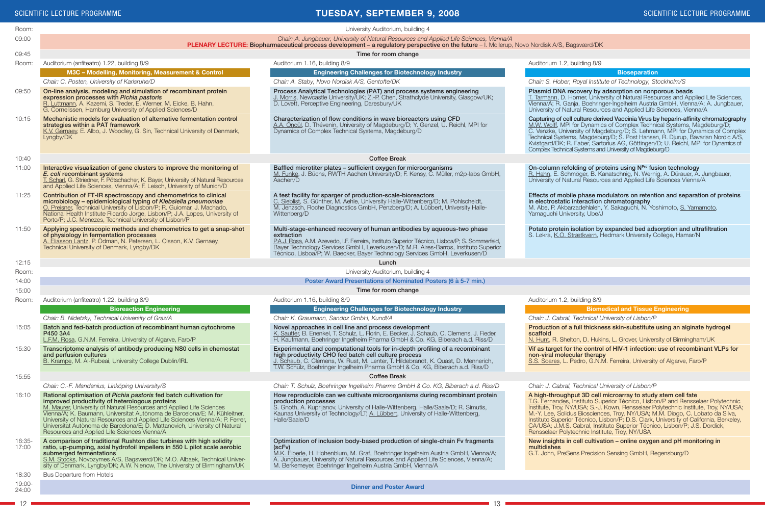#### **Tuesday, September 9, 2008**

|                 | <b>SCIENTIFIC LECTURE PROGRAMME</b>                                                                                                                                                                                                                                                                                                                                                                                                                                                       | <b>TUESDAY, SEPTEMBER 9, 2008</b>                                                                                                                                                                                                                                                                                                                            | SCIENTIFIC LECTURE PROGRAMME                                                                                                                                                                                                                                                                                                                                                                                                                                                                                                                      |
|-----------------|-------------------------------------------------------------------------------------------------------------------------------------------------------------------------------------------------------------------------------------------------------------------------------------------------------------------------------------------------------------------------------------------------------------------------------------------------------------------------------------------|--------------------------------------------------------------------------------------------------------------------------------------------------------------------------------------------------------------------------------------------------------------------------------------------------------------------------------------------------------------|---------------------------------------------------------------------------------------------------------------------------------------------------------------------------------------------------------------------------------------------------------------------------------------------------------------------------------------------------------------------------------------------------------------------------------------------------------------------------------------------------------------------------------------------------|
| Room:           |                                                                                                                                                                                                                                                                                                                                                                                                                                                                                           | University Auditorium, building 4                                                                                                                                                                                                                                                                                                                            |                                                                                                                                                                                                                                                                                                                                                                                                                                                                                                                                                   |
| 09:00           | Chair: A. Jungbauer, University of Natural Resources and Applied Life Sciences, Vienna/A<br><b>PLENARY LECTURE: Biopharmaceutical process development - a regulatory perspective on the future - I. Mollerup, Novo Nordisk A/S, Bagsværd/DK</b>                                                                                                                                                                                                                                           |                                                                                                                                                                                                                                                                                                                                                              |                                                                                                                                                                                                                                                                                                                                                                                                                                                                                                                                                   |
| 09:45           |                                                                                                                                                                                                                                                                                                                                                                                                                                                                                           | Time for room change                                                                                                                                                                                                                                                                                                                                         |                                                                                                                                                                                                                                                                                                                                                                                                                                                                                                                                                   |
| Room:           | Auditorium (anfiteatro) 1.22, building 8/9                                                                                                                                                                                                                                                                                                                                                                                                                                                | Auditorium 1.16, building 8/9                                                                                                                                                                                                                                                                                                                                | Auditorium 1.2, building 8/9                                                                                                                                                                                                                                                                                                                                                                                                                                                                                                                      |
|                 | M3C - Modelling, Monitoring, Measurement & Control                                                                                                                                                                                                                                                                                                                                                                                                                                        | <b>Engineering Challenges for Biotechnology Industry</b>                                                                                                                                                                                                                                                                                                     | <b>Bioseparation</b>                                                                                                                                                                                                                                                                                                                                                                                                                                                                                                                              |
|                 | Chair: C. Posten, University of Karlsruhe/D                                                                                                                                                                                                                                                                                                                                                                                                                                               | Chair: A. Staby, Novo Nordisk A/S, Gentofte/DK                                                                                                                                                                                                                                                                                                               | Chair: S. Hober, Royal Institute of Technology, Stockholm/S                                                                                                                                                                                                                                                                                                                                                                                                                                                                                       |
| 09:50           | On-line analysis, modeling and simulation of recombinant protein<br>expression processes with Pichia pastoris<br>R. Luttmann, A. Kazemi, S. Treder, E. Werner, M. Eicke, B. Hahn,<br>G. Cornelissen, Hamburg University of Applied Sciences/D                                                                                                                                                                                                                                             | Process Analytical Technologies (PAT) and process systems engineering<br>J. Morris, Newcastle University/UK; Z.-P. Chen, Strathclyde University, Glasgow/UK;<br>D. Lovett, Perceptive Engineering, Daresbury/UK                                                                                                                                              | Plasmid DNA recovery by adsorption on nonporous beads<br>T. Tarmann, D. Horner, University of Natural Resources and Applied Life Sciences,<br>Vienna/A; R. Ganja, Boehringer-Ingelheim Austria GmbH, Vienna/A; A. Jungbauer,<br>University of Natural Resources and Applied Life Sciences. Vienna/A                                                                                                                                                                                                                                               |
| 10:15           | Mechanistic models for evaluation of alternative fermentation control<br>strategies within a PAT framework<br>K.V. Gernaey, E. Albo, J. Woodley, G. Sin, Technical University of Denmark,<br>Lyngby/DK                                                                                                                                                                                                                                                                                    | Characterization of flow conditions in wave bioreactors using CFD<br>A.A. Oncül, D. Thévenin, University of Magdeburg/D; Y. Genzel, U. Reichl, MPI for<br>Dynamics of Complex Technical Systems, Magdeburg/D                                                                                                                                                 | Capturing of cell culture derived Vaccinia Virus by heparin-affinity chromatography<br>M.W. Wolff, MPI for Dynamics of Complex Technical Systems, Magdeburg/D;<br>C. Venzke, University of Magdeburg/D; S. Lehmann, MPI for Dynamics of Complex<br>Technical Systems, Magdeburg/D; S. Post Hansen, R. Djurup, Bavarian Nordic A/S,<br>Kvistgard/DK; R. Faber, Sartorius AG, Göttingen/D; U. Reichl, MPI for Dynamics of<br>Complex Technical Systems and University of Magdeburg/D                                                                |
| 10:40           |                                                                                                                                                                                                                                                                                                                                                                                                                                                                                           | <b>Coffee Break</b>                                                                                                                                                                                                                                                                                                                                          |                                                                                                                                                                                                                                                                                                                                                                                                                                                                                                                                                   |
| 11:00           | Interactive visualization of gene clusters to improve the monitoring of<br>E. coli recombinant systems<br>T. Scharl, G. Striedner, F. Pötschacher, K. Bayer, University of Natural Resources<br>and Applied Life Sciences, Vienna/A; F. Leisch, University of Munich/D                                                                                                                                                                                                                    | Baffled microtiter plates - sufficient oxygen for microorganisms<br>M. Funke, J. Büchs, RWTH Aachen University/D; F. Kensy, C. Müller, m2p-labs GmbH,<br>Aachen/D                                                                                                                                                                                            | On-column refolding of proteins using N <sup>Pro</sup> fusion technology<br>R. Hahn, E. Schmöger, B. Kanatschnig, N. Wernig, A. Dürauer, A. Jungbauer,<br>University of Natural Resources and Applied Life Sciences Vienna/A                                                                                                                                                                                                                                                                                                                      |
| 11:25           | Contribution of FT-IR spectroscopy and chemometrics to clinical<br>microbiology - epidemiological typing of Klebsiella pneumoniae<br>O. Preisner, Technical University of Lisbon/P; R. Guiomar, J. Machado,<br>National Health Institute Ricardo Jorge, Lisbon/P; J.A. Lopes, University of<br>Porto/P; J.C. Menezes, Technical University of Lisbon/P                                                                                                                                    | A test facility for sparger of production-scale-bioreactors<br>C. Sieblist, S. Günther, M. Aehle, University Halle-Wittenberg/D; M. Pohlscheidt,<br>M. Jenzsch, Roche Diagnostics GmbH, Penzberg/D; A. Lübbert, University Halle-<br>Wittenberg/D                                                                                                            | Effects of mobile phase modulators on retention and separation of proteins<br>in electrostatic interaction chromatography<br>M. Abe, P. Akbarzadehlaleh, Y. Sakaguchi, N. Yoshimoto, S. Yamamoto,<br>Yamaguchi University, Ube/J                                                                                                                                                                                                                                                                                                                  |
| 11:50           | Applying spectroscopic methods and chemometrics to get a snap-shot<br>of physiology in fermentation processes<br>A. Eliasson Lantz, P. Odman, N. Petersen, L. Olsson, K.V. Gernaey,<br>Technical University of Denmark, Lyngby/DK                                                                                                                                                                                                                                                         | Multi-stage-enhanced recovery of human antibodies by aqueous-two phase<br>extraction<br>P.A.J. Rosa, A.M. Azevedo, I.F. Ferreira, Instituto Superior Técnico, Lisboa/P; S. Sommerfeld,<br>Bayer Technology Services GmbH, Leverkusen/D; M.R. Aires-Barros, Instituto Superior<br>Técnico, Lisboa/P; W. Baecker, Bayer Technology Services GmbH, Leverkusen/D | Potato protein isolation by expanded bed adsorption and ultrafiltration<br>S. Løkra, K.O. Strætkvern, Hedmark University College, Hamar/N                                                                                                                                                                                                                                                                                                                                                                                                         |
| 12:15           |                                                                                                                                                                                                                                                                                                                                                                                                                                                                                           | Lunch                                                                                                                                                                                                                                                                                                                                                        |                                                                                                                                                                                                                                                                                                                                                                                                                                                                                                                                                   |
| Room:           |                                                                                                                                                                                                                                                                                                                                                                                                                                                                                           | University Auditorium, building 4                                                                                                                                                                                                                                                                                                                            |                                                                                                                                                                                                                                                                                                                                                                                                                                                                                                                                                   |
| 14:00           |                                                                                                                                                                                                                                                                                                                                                                                                                                                                                           | Poster Award Presentations of Nominated Posters (6 à 5-7 min.)                                                                                                                                                                                                                                                                                               |                                                                                                                                                                                                                                                                                                                                                                                                                                                                                                                                                   |
| 15:00           |                                                                                                                                                                                                                                                                                                                                                                                                                                                                                           | Time for room change                                                                                                                                                                                                                                                                                                                                         |                                                                                                                                                                                                                                                                                                                                                                                                                                                                                                                                                   |
| Room:           | Auditorium (anfiteatro) 1.22, building 8/9                                                                                                                                                                                                                                                                                                                                                                                                                                                | Auditorium 1.16, building 8/9                                                                                                                                                                                                                                                                                                                                | Auditorium 1.2, building 8/9                                                                                                                                                                                                                                                                                                                                                                                                                                                                                                                      |
|                 | <b>Bioreaction Engineering</b>                                                                                                                                                                                                                                                                                                                                                                                                                                                            | <b>Engineering Challenges for Biotechnology Industry</b>                                                                                                                                                                                                                                                                                                     | <b>Biomedical and Tissue Engineering</b>                                                                                                                                                                                                                                                                                                                                                                                                                                                                                                          |
|                 | Chair: B. Nidetzky, Technical University of Graz/A                                                                                                                                                                                                                                                                                                                                                                                                                                        | Chair: K. Graumann, Sandoz GmbH, Kundl/A                                                                                                                                                                                                                                                                                                                     | Chair: J. Cabral, Technical University of Lisbon/P                                                                                                                                                                                                                                                                                                                                                                                                                                                                                                |
| 15:05           | Batch and fed-batch production of recombinant human cytochrome<br>P450 3A4<br>L.F.M. Rosa, G.N.M. Ferreira, University of Algarve, Faro/P                                                                                                                                                                                                                                                                                                                                                 | Novel approaches in cell line and process development<br>K. Sautter, B. Enenkel, T. Schulz, L. Florin, E. Becker, J. Schaub, C. Clemens, J. Fieder,<br>H. Kaufmann, Boehringer Ingelheim Pharma GmbH & Co. KG, Biberach a.d. Riss/D                                                                                                                          | Production of a full thickness skin-substitute using an alginate hydrogel<br>scaffold<br>N. Hunt, R. Shelton, D. Hukins, L. Grover, University of Birmingham/UK                                                                                                                                                                                                                                                                                                                                                                                   |
| 15:30           | Transcriptome analysis of antibody producing NS0 cells in chemostat<br>and perfusion cultures<br>B. Krampe, M. Al-Rubeai, University College Dublin/IRL                                                                                                                                                                                                                                                                                                                                   | Experimental and computational tools for in-depth profiling of a recombinant<br>high productivity CHO fed batch cell culture process<br>J. Schaub, C. Clemens, W. Rust, M. Lenter, T. Hildebrandt, K. Quast, D. Mennerich,<br>T.W. Schulz, Boehringer Ingelheim Pharma GmbH & Co. KG, Biberach a.d. Riss/D                                                   | Vif as target for the control of HIV-1 infection: use of recombinant VLPs for<br>non-viral molecular therapy<br>S.S. Soares, L. Pedro, G.N.M. Ferreira, University of Algarve, Faro/P                                                                                                                                                                                                                                                                                                                                                             |
| 15:55           |                                                                                                                                                                                                                                                                                                                                                                                                                                                                                           | <b>Coffee Break</b>                                                                                                                                                                                                                                                                                                                                          |                                                                                                                                                                                                                                                                                                                                                                                                                                                                                                                                                   |
|                 | Chair: C.-F. Mandenius, Linköping University/S                                                                                                                                                                                                                                                                                                                                                                                                                                            | Chair: T. Schulz, Boehringer Ingelheim Pharma GmbH & Co. KG, Biberach a.d. Riss/D                                                                                                                                                                                                                                                                            | Chair: J. Cabral, Technical University of Lisbon/P                                                                                                                                                                                                                                                                                                                                                                                                                                                                                                |
| 16:10           | Rational optimisation of Pichia pastoris fed batch cultivation for<br>improved productivity of heterologous proteins<br>M. Maurer, University of Natural Resources and Applied Life Sciences<br>Vienna/A; K. Baumann, Universitat Autònoma de Barcelona/E; M. Kühleitner,<br>University of Natural Resources and Applied Life Sciences Vienna/A; P. Ferrer,<br>Universitat Autònoma de Barcelona/E; D. Mattanovich, University of Natural<br>Resources and Applied Life Sciences Vienna/A | How reproducible can we cultivate microorganisms during recombinant protein<br>production processes<br>S. Gnoth, A. Kuprijanov, University of Halle-Wittenberg, Halle/Saale/D; R. Simutis,<br>Kaunas University of Technology/LT; A. Lübbert, University of Halle-Wittenberg,<br>Halle/Saale/D                                                               | A high-throughput 3D cell microarray to study stem cell fate<br>T.G. Fernandes, Instituto Superior Técnico, Lisbon/P and Rensselaer Polytechnic<br>Institute, Troy, NY/USA; S.-J. Kown, Rensselaer Polytechnic Institute, Troy, NY/USA;<br>M.-Y. Lee, Solidus Biosciences, Troy, NY/USA; M.M. Diogo, C. Lobato da Silva,<br>Instituto Superior Técnico, Lisbon/P; D.S. Clark, University of California, Berkeley,<br>CA/USA; J.M.S. Cabral, Instituto Superior Técnico, Lisbon/P; J.S. Dordick,<br>Rensselaer Polytechnic Institute, Troy, NY/USA |
| 16:35-<br>17:00 | A comparison of traditional Rushton disc turbines with high solidity<br>ratio, up-pumping, axial hydrofoil impellers in 550 L pilot scale aerobic<br>submerged fermentations<br>S.M. Stocks, Novozymes A/S, Bagsværd/DK; M.O. Albaek, Technical Univer-<br>sity of Denmark, Lyngby/DK; A.W. Nienow, The University of Birmingham/UK                                                                                                                                                       | Optimization of inclusion body-based production of single-chain Fv fragments<br>( <b>scFv</b> )<br>M.K. Eiberle, H. Hohenblum, M. Graf, Boehringer Ingelheim Austria GmbH, Vienna/A;<br>A. Jungbauer, University of Natural Resources and Applied Life Sciences, Vienna/A;<br>M. Berkemeyer, Boehringer Ingelheim Austria GmbH, Vienna/A                     | New insights in cell cultivation – online oxygen and pH monitoring in<br>multidishes<br>G.T. John, PreSens Precision Sensing GmbH, Regensburg/D                                                                                                                                                                                                                                                                                                                                                                                                   |
| 18:30           | <b>Bus Departure from Hotels</b>                                                                                                                                                                                                                                                                                                                                                                                                                                                          |                                                                                                                                                                                                                                                                                                                                                              |                                                                                                                                                                                                                                                                                                                                                                                                                                                                                                                                                   |
| 19:00-<br>24:00 |                                                                                                                                                                                                                                                                                                                                                                                                                                                                                           | <b>Dinner and Poster Award</b>                                                                                                                                                                                                                                                                                                                               |                                                                                                                                                                                                                                                                                                                                                                                                                                                                                                                                                   |

12 13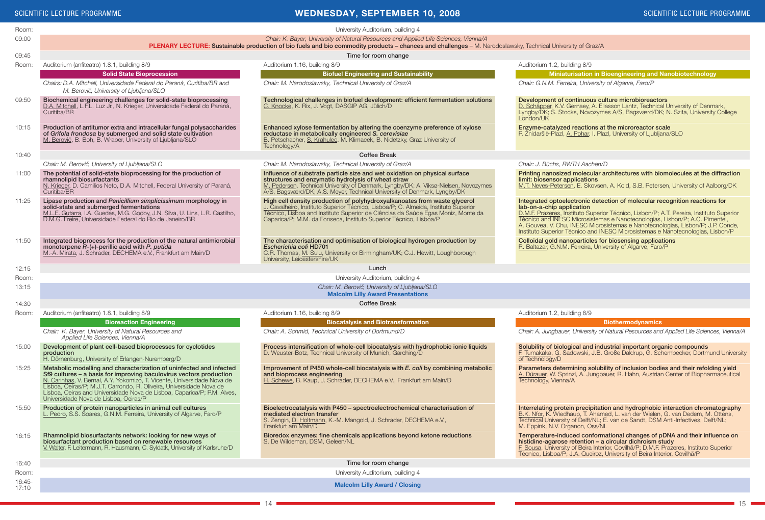#### SCIENTIFIC LECTURE PROGRAMME AND SCIENTIFIC LECTURE PROGRAMME AND SCIENTIFIC LECTURE PROGRAMME AND SCIENTIFIC LECTURE PROGRAMME

| Room:             | University Auditorium, building 4                                                                                                                                                                                                                                                                                                                                                                                 |                                                                                                                                                                                                                                                                                                                           |                                                                                                                                                                                                                                                                                                                                                                                                                                                        |
|-------------------|-------------------------------------------------------------------------------------------------------------------------------------------------------------------------------------------------------------------------------------------------------------------------------------------------------------------------------------------------------------------------------------------------------------------|---------------------------------------------------------------------------------------------------------------------------------------------------------------------------------------------------------------------------------------------------------------------------------------------------------------------------|--------------------------------------------------------------------------------------------------------------------------------------------------------------------------------------------------------------------------------------------------------------------------------------------------------------------------------------------------------------------------------------------------------------------------------------------------------|
| 09:00             | Chair: K. Bayer, University of Natural Resources and Applied Life Sciences, Vienna/A                                                                                                                                                                                                                                                                                                                              |                                                                                                                                                                                                                                                                                                                           |                                                                                                                                                                                                                                                                                                                                                                                                                                                        |
|                   | PLENARY LECTURE: Sustainable production of bio fuels and bio commodity products - chances and challenges - M. Narodoslawsky, Technical University of Graz/A                                                                                                                                                                                                                                                       |                                                                                                                                                                                                                                                                                                                           |                                                                                                                                                                                                                                                                                                                                                                                                                                                        |
| 09:45             | Time for room change                                                                                                                                                                                                                                                                                                                                                                                              |                                                                                                                                                                                                                                                                                                                           |                                                                                                                                                                                                                                                                                                                                                                                                                                                        |
| Room:             | Auditorium (anfiteatro) 1.8.1, building 8/9                                                                                                                                                                                                                                                                                                                                                                       | Auditorium 1.16, building 8/9                                                                                                                                                                                                                                                                                             | Auditorium 1.2, building 8/9                                                                                                                                                                                                                                                                                                                                                                                                                           |
|                   | <b>Solid State Bioprocession</b>                                                                                                                                                                                                                                                                                                                                                                                  | <b>Biofuel Engineering and Sustainability</b>                                                                                                                                                                                                                                                                             | <b>Miniaturisation in Bioengineering and Nanobiotechnology</b>                                                                                                                                                                                                                                                                                                                                                                                         |
|                   | Chairs: D.A. Mitchell. Universidade Federal do Paraná. Curitiba/BR and<br>M. Berovič, University of Ljubljana/SLO                                                                                                                                                                                                                                                                                                 | Chair: M. Narodoslawsky, Technical University of Graz/A                                                                                                                                                                                                                                                                   | Chair: G.N.M. Ferreira, University of Algarve, Faro/P                                                                                                                                                                                                                                                                                                                                                                                                  |
| 09:50             | Biochemical engineering challenges for solid-state bioprocessing<br>D.A. Mitchell, L.F.L. Luz Jr., N. Krieger, Universidade Federal do Paraná,<br>Curitiba/BR                                                                                                                                                                                                                                                     | Technological challenges in biofuel development: efficient fermentation solutions<br>C. Knocke, K. Rix, J. Vogt, DASGIP AG, Jülich/D                                                                                                                                                                                      | Development of continuous culture microbioreactors<br>D. Schäpper, K.V. Gernaey, A. Eliasson Lantz, Technical University of Denmark,<br>Lyngby/DK; S. Stocks, Novozymes A/S, Bagsværd/DK; N. Szita, University College<br>London/UK                                                                                                                                                                                                                    |
| 10:15             | Production of antitumor extra and intracellular fungal polysaccharides<br>of Grifola frondosa by submerged and solid state cultivation<br>M. Berovič, B. Boh, B. Wraber, University of Ljubljana/SLO                                                                                                                                                                                                              | Enhanced xylose fermentation by altering the coenzyme preference of xylose<br>reductase in metabolically engineered S. cerevisiae<br>B. Petschacher, S. Krahulec, M. Klimacek, B. Nidetzky, Graz University of<br>Technology/A                                                                                            | Enzyme-catalyzed reactions at the microreactor scale<br>P. Žnidaršiè-Plazl, A. Pohar, I. Plazl, University of Ljubljana/SLO                                                                                                                                                                                                                                                                                                                            |
| 10:40             |                                                                                                                                                                                                                                                                                                                                                                                                                   | <b>Coffee Break</b>                                                                                                                                                                                                                                                                                                       |                                                                                                                                                                                                                                                                                                                                                                                                                                                        |
|                   | Chair: M. Berovič, University of Ljubljana/SLO                                                                                                                                                                                                                                                                                                                                                                    | Chair: M. Narodoslawsky, Technical University of Graz/A                                                                                                                                                                                                                                                                   | Chair: J. Büchs, RWTH Aachen/D                                                                                                                                                                                                                                                                                                                                                                                                                         |
| 11:00             | The potential of solid-state bioprocessing for the production of<br>rhamnolipid biosurfactants<br>N. Krieger, D. Camilios Neto, D.A. Mitchell, Federal University of Paraná,<br>Curitiba/BR                                                                                                                                                                                                                       | Influence of substrate particle size and wet oxidation on physical surface<br>structures and enzymatic hydrolysis of wheat straw<br>M. Pedersen, Technical University of Denmark, Lyngby/DK; A. Viksø-Nielsen, Novozymes<br>A/S, Bagsværd/DK; A.S. Meyer, Technical University of Denmark, Lyngby/DK                      | Printing nanosized molecular architectures with biomolecules at the diffraction<br>limit: biosensor applications<br>M.T. Neves-Petersen, E. Skovsen, A. Kold, S.B. Petersen, University of Aalborg/DK                                                                                                                                                                                                                                                  |
| 11:25             | Lipase production and Penicillium simplicissimum morphology in<br>solid-state and submerged fermentations<br>M.L.E. Gutarra, I.A. Guedes, M.G. Godoy, J.N. Silva, U. Lins, L.R. Castilho,<br>D.M.G. Freire, Universidade Federal do Rio de Janeiro/BR                                                                                                                                                             | High cell density production of polyhydroxyalkanoates from waste glycerol<br>J. Cavalheiro, Instituto Superior Técnico, Lisboa/P; C. Almeida, Instituto Superior<br>Técnico, Lisboa and Instituto Superior de Ciências da Saúde Egas Moniz, Monte da<br>Caparica/P; M.M. da Fonseca, Instituto Superior Técnico, Lisboa/P | Integrated optoelectronic detection of molecular recognition reactions for<br>lab-on-a-chip application<br>D.M.F. Prazeres, Instituto Superior Técnico, Lisbon/P; A.T. Pereira, Instituto Superior<br>Técnico and INESC Microsistemas e Nanotecnologias, Lisbon/P; A.C. Pimentel,<br>A. Gouvea, V. Chu, INESC Microsistemas e Nanotecnologias, Lisbon/P; J.P. Conde,<br>Instituto Superior Técnico and INESC Microsistemas e Nanotecnologias, Lisbon/P |
| 11:50             | Integrated bioprocess for the production of the natural antimicrobial<br>monoterpene R-(+)-perillic acid with P. putida<br>M.-A. Mirata, J. Schrader, DECHEMA e.V., Frankfurt am Main/D                                                                                                                                                                                                                           | The characterisation and optimisation of biological hydrogen production by<br>Escherichia coli HD701<br>C.R. Thomas, M. Sulu, University or Birmingham/UK; C.J. Hewitt, Loughborough<br>University, Leicestershire/UK                                                                                                     | Colloidal gold nanoparticles for biosensing applications<br>R. Baltazar, G.N.M. Ferreira, University of Algarve, Faro/P                                                                                                                                                                                                                                                                                                                                |
| 12:15             | Lunch                                                                                                                                                                                                                                                                                                                                                                                                             |                                                                                                                                                                                                                                                                                                                           |                                                                                                                                                                                                                                                                                                                                                                                                                                                        |
| Room:             | University Auditorium, building 4                                                                                                                                                                                                                                                                                                                                                                                 |                                                                                                                                                                                                                                                                                                                           |                                                                                                                                                                                                                                                                                                                                                                                                                                                        |
| 13:15             |                                                                                                                                                                                                                                                                                                                                                                                                                   | Chair: M. Berovič, University of Ljubljana/SLO<br><b>Malcolm Lilly Award Presentations</b>                                                                                                                                                                                                                                |                                                                                                                                                                                                                                                                                                                                                                                                                                                        |
| 14:30             |                                                                                                                                                                                                                                                                                                                                                                                                                   | <b>Coffee Break</b>                                                                                                                                                                                                                                                                                                       |                                                                                                                                                                                                                                                                                                                                                                                                                                                        |
| Room:             | Auditorium (anfiteatro) 1.8.1, building 8/9                                                                                                                                                                                                                                                                                                                                                                       | Auditorium 1.16, building 8/9                                                                                                                                                                                                                                                                                             | Auditorium 1.2, building 8/9                                                                                                                                                                                                                                                                                                                                                                                                                           |
|                   | <b>Bioreaction Engineering</b>                                                                                                                                                                                                                                                                                                                                                                                    | <b>Biocatalysis and Biotransformation</b>                                                                                                                                                                                                                                                                                 | <b>Biothermodynamics</b>                                                                                                                                                                                                                                                                                                                                                                                                                               |
|                   | Chair: K. Bayer, University of Natural Resources and<br>Applied Life Sciences, Vienna/A                                                                                                                                                                                                                                                                                                                           | Chair: A. Schmid, Technical University of Dortmund/D                                                                                                                                                                                                                                                                      | Chair: A. Jungbauer, University of Natural Resources and Applied Life Sciences, Vienna/A                                                                                                                                                                                                                                                                                                                                                               |
| 15:00             | Development of plant cell-based bioprocesses for cyclotides<br>production<br>H. Dörnenburg, University of Erlangen-Nuremberg/D                                                                                                                                                                                                                                                                                    | Process intensification of whole-cell biocatalysis with hydrophobic ionic liquids<br>D. Weuster-Botz, Technical University of Munich, Garching/D                                                                                                                                                                          | Solubility of biological and industrial important organic compounds<br>F. Tumakaka, G. Sadowski, J.B. Große Daldrup, G. Schembecker, Dortmund University<br>of Technology/D                                                                                                                                                                                                                                                                            |
| 15:25             | Metabolic modelling and characterization of uninfected and infected<br>Sf9 cultures - a basis for improving baculovirus vectors production<br>N. Carinhas, V. Bernal, A.Y. Yokomizo, T. Vicente, Universidade Nova de<br>Lisboa, Oeiras/P; M.J.T. Carrondo, R. Oliveira, Universidade Nova de<br>Lisboa, Oeiras and Universidade Nova de Lisboa, Caparica/P; P.M. Alves,<br>Universidade Nova de Lisboa, Oeiras/P | Improvement of P450 whole-cell biocatalysis with E. coli by combining metabolic<br>and bioprocess engineering<br>H. Schewe, B. Kaup, J. Schrader, DECHEMA e.V., Frankfurt am Main/D                                                                                                                                       | Parameters determining solubility of inclusion bodies and their refolding yield<br>A. Dürauer, W. Sprinzl, A. Jungbauer, R. Hahn, Austrian Center of Biopharmaceutical<br>Technology, Vienna/A                                                                                                                                                                                                                                                         |
| 15:50             | Production of protein nanoparticles in animal cell cultures<br>L. Pedro, S.S. Soares, G.N.M. Ferreira, University of Algarve, Faro/P                                                                                                                                                                                                                                                                              | Bioelectrocatalysis with P450 - spectroelectrochemical characterisation of<br>mediated electron transfer<br>S. Zengin, D. Holtmann, K.-M. Mangold, J. Schrader, DECHEMA e.V.,<br>Frankfurt am Main/D                                                                                                                      | Interrelating protein precipitation and hydrophobic interaction chromatography<br>B.K. Nfor, K. Wiedhaup, T. Ahamed, L. van der Wielen, G. van Dedem, M. Ottens,<br>Technical University of Delft/NL; E. van de Sandt, DSM Anti-Infectives, Delft/NL;<br>M. Eppink, N.V. Organon, Oss/NL                                                                                                                                                               |
| 16:15             | Rhamnolipid biosurfactants network: looking for new ways of<br>biosurfactant production based on renewable resources<br>V. Walter, F. Leitermann, R. Hausmann, C. Syldatk, University of Karlsruhe/D                                                                                                                                                                                                              | Bioredox enzymes: fine chemicals applications beyond ketone reductions<br>S. De Wildeman, DSM, Geleen/NL                                                                                                                                                                                                                  | Temperature-induced conformational changes of pDNA and their influence on<br>histidine-agarose retention - a circular dichroism study<br>F. Sousa, University of Beira Interior, Covilhã/P; D.M.F. Prazeres, Instituto Superior<br>Técnico. Lisboa/P: J.A. Queiroz. University of Beira Interior. Covilhã/P                                                                                                                                            |
| 16:40             | Time for room change                                                                                                                                                                                                                                                                                                                                                                                              |                                                                                                                                                                                                                                                                                                                           |                                                                                                                                                                                                                                                                                                                                                                                                                                                        |
| Room:             | University Auditorium, building 4                                                                                                                                                                                                                                                                                                                                                                                 |                                                                                                                                                                                                                                                                                                                           |                                                                                                                                                                                                                                                                                                                                                                                                                                                        |
| $16:45-$<br>17:10 | <b>Malcolm Lilly Award / Closing</b>                                                                                                                                                                                                                                                                                                                                                                              |                                                                                                                                                                                                                                                                                                                           |                                                                                                                                                                                                                                                                                                                                                                                                                                                        |

 $-14$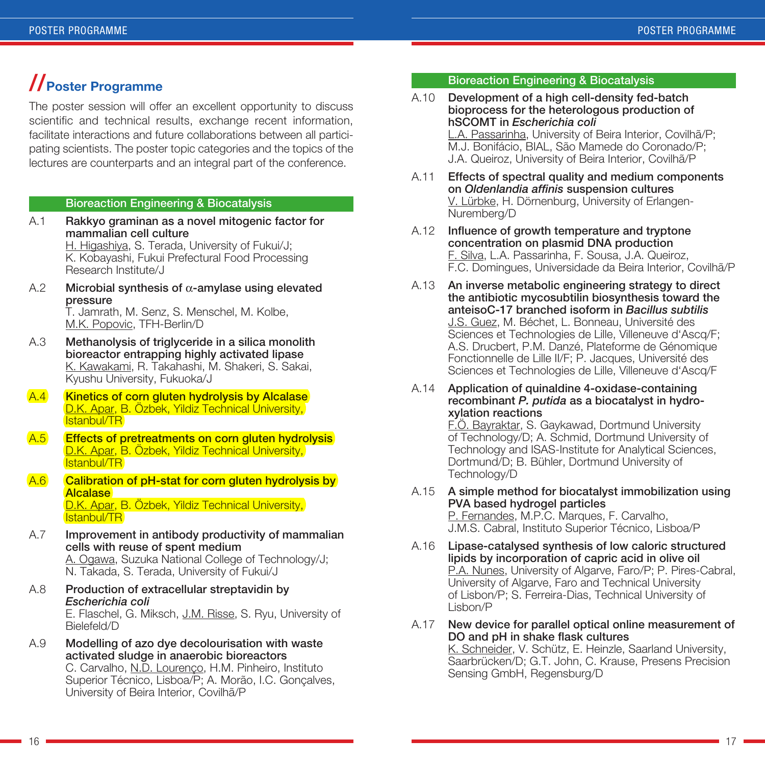### **//Poster Programme**

The poster session will offer an excellent opportunity to discuss scientific and technical results, exchange recent information, facilitate interactions and future collaborations between all participating scientists. The poster topic categories and the topics of the lectures are counterparts and an integral part of the conference.

#### Bioreaction Engineering & Biocatalysis

- A.1 Rakkyo graminan as a novel mitogenic factor for mammalian cell culture H. Higashiya, S. Terada, University of Fukui/J; K. Kobayashi, Fukui Prefectural Food Processing Research Institute/J
- A.2 Microbial synthesis of  $\alpha$ -amylase using elevated pressure

T. Jamrath, M. Senz, S. Menschel, M. Kolbe, M.K. Popovic, TFH-Berlin/D

- A.3 Methanolysis of triglyceride in a silica monolith bioreactor entrapping highly activated lipase K. Kawakami, R. Takahashi, M. Shakeri, S. Sakai, Kyushu University, Fukuoka/J
- A.4 Kinetics of corn gluten hydrolysis by Alcalase D.K. Apar, B. Özbek, Yildiz Technical University, Istanbul/TR
- A.5 Effects of pretreatments on corn gluten hydrolysis D.K. Apar, B. Özbek, Yildiz Technical University, Istanbul/TR
- A.6 Calibration of pH-stat for corn gluten hydrolysis by **Alcalase** D.K. Apar, B. Özbek, Yildiz Technical University, Istanbul/TR
- A.7 Improvement in antibody productivity of mammalian cells with reuse of spent medium A. Ogawa, Suzuka National College of Technology/J; N. Takada, S. Terada, University of Fukui/J
- A.8 Production of extracellular streptavidin by *Escherichia coli* E. Flaschel, G. Miksch, J.M. Risse, S. Ryu, University of Bielefeld/D
- A.9 Modelling of azo dye decolourisation with waste activated sludge in anaerobic bioreactors C. Carvalho, N.D. Lourenço, H.M. Pinheiro, Instituto

Superior Técnico, Lisboa/P; A. Morão, I.C. Gonçalves, University of Beira Interior, Covilhã/P

#### Bioreaction Engineering & Biocatalysis

#### A.10 Development of a high cell-density fed-batch bioprocess for the heterologous production of hSCOMT in *Escherichia coli* L.A. Passarinha, University of Beira Interior, Covilhã/P; M.J. Bonifácio, BIAL, São Mamede do Coronado/P; J.A. Queiroz, University of Beira Interior, Covilhã/P

- A.11 Effects of spectral quality and medium components on *Oldenlandia affinis* suspension cultures V. Lürbke, H. Dörnenburg, University of Erlangen-Nuremberg/D
- A.12 Influence of growth temperature and tryptone concentration on plasmid DNA production F. Silva, L.A. Passarinha, F. Sousa, J.A. Queiroz, F.C. Domingues, Universidade da Beira Interior, Covilhã/P
- A.13 An inverse metabolic engineering strategy to direct the antibiotic mycosubtilin biosynthesis toward the anteisoC-17 branched isoform in *Bacillus subtilis* J.S. Guez, M. Béchet, L. Bonneau, Université des Sciences et Technologies de Lille, Villeneuve d'Ascq/F; A.S. Drucbert, P.M. Danzé, Plateforme de Génomique Fonctionnelle de Lille II/F; P. Jacques, Université des Sciences et Technologies de Lille, Villeneuve d'Ascq/F
- A.14 Application of quinaldine 4-oxidase-containing recombinant *P. putida* as a biocatalyst in hydroxylation reactions

F.Ö. Bayraktar, S. Gaykawad, Dortmund University of Technology/D; A. Schmid, Dortmund University of Technology and ISAS-Institute for Analytical Sciences, Dortmund/D; B. Bühler, Dortmund University of Technology/D

- A.15 A simple method for biocatalyst immobilization using PVA based hydrogel particles P. Fernandes, M.P.C. Marques, F. Carvalho, J.M.S. Cabral, Instituto Superior Técnico, Lisboa/P
- A.16 Lipase-catalysed synthesis of low caloric structured lipids by incorporation of capric acid in olive oil P.A. Nunes, University of Algarve, Faro/P; P. Pires-Cabral, University of Algarve, Faro and Technical University of Lisbon/P; S. Ferreira-Dias, Technical University of Lisbon/P
- A.17 New device for parallel optical online measurement of DO and pH in shake flask cultures K. Schneider, V. Schütz, E. Heinzle, Saarland University, Saarbrücken/D; G.T. John, C. Krause, Presens Precision Sensing GmbH, Regensburg/D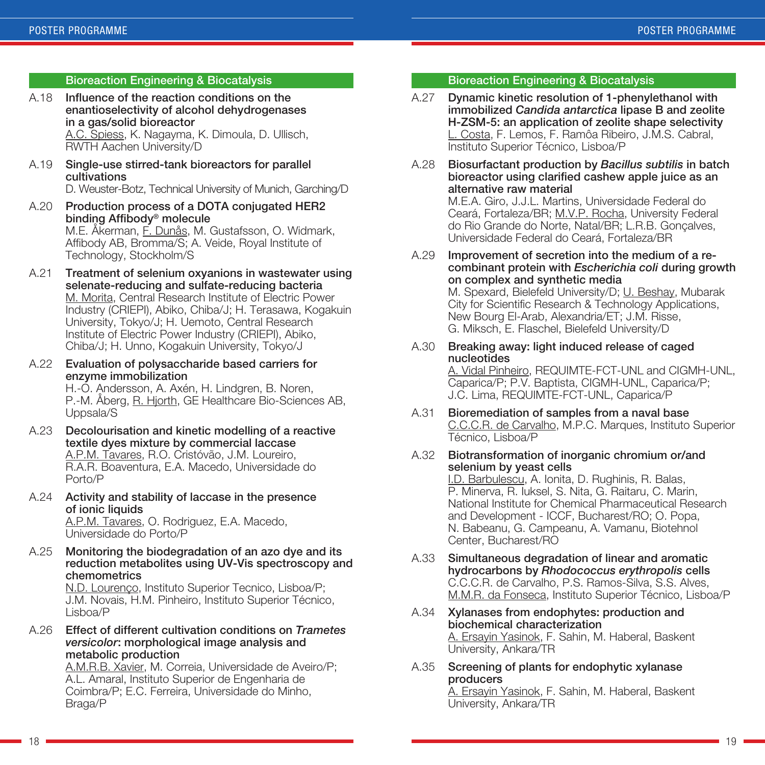#### Bioreaction Engineering & Biocatalysis

A.18 Influence of the reaction conditions on the enantioselectivity of alcohol dehydrogenases in a gas/solid bioreactor A.C. Spiess, K. Nagayma, K. Dimoula, D. Ullisch,

RWTH Aachen University/D

A.19 Single-use stirred-tank bioreactors for parallel cultivations

D. Weuster-Botz, Technical University of Munich, Garching/D

- A.20 Production process of a DOTA conjugated HER2 binding Affibody® molecule M.E. Åkerman, F. Dunås, M. Gustafsson, O. Widmark, Affibody AB, Bromma/S; A. Veide, Royal Institute of Technology, Stockholm/S
- A.21 Treatment of selenium oxyanions in wastewater using selenate-reducing and sulfate-reducing bacteria M. Morita, Central Research Institute of Electric Power Industry (CRIEPI), Abiko, Chiba/J; H. Terasawa, Kogakuin University, Tokyo/J; H. Uemoto, Central Research Institute of Electric Power Industry (CRIEPI), Abiko, Chiba/J; H. Unno, Kogakuin University, Tokyo/J
- A.22 Evaluation of polysaccharide based carriers for enzyme immobilization H.-O. Andersson, A. Axén, H. Lindgren, B. Noren, P.-M. Åberg, R. Hjorth, GE Healthcare Bio-Sciences AB, Uppsala/S
- A.23 Decolourisation and kinetic modelling of a reactive textile dyes mixture by commercial laccase A.P.M. Tavares, R.O. Cristóvão, J.M. Loureiro, R.A.R. Boaventura, E.A. Macedo, Universidade do Porto/P
- A.24 Activity and stability of laccase in the presence of ionic liquids A.P.M. Tavares, O. Rodriguez, E.A. Macedo, Universidade do Porto/P
- A.25 Monitoring the biodegradation of an azo dye and its reduction metabolites using UV-Vis spectroscopy and chemometrics

N.D. Lourenço, Instituto Superior Tecnico, Lisboa/P; J.M. Novais, H.M. Pinheiro, Instituto Superior Técnico, Lisboa/P

A.26 Effect of different cultivation conditions on *Trametes versicolor*: morphological image analysis and metabolic production

A.M.R.B. Xavier, M. Correia, Universidade de Aveiro/P; A.L. Amaral, Instituto Superior de Engenharia de Coimbra/P; E.C. Ferreira, Universidade do Minho, Braga/P

#### Bioreaction Engineering & Biocatalysis

- A.27 Dynamic kinetic resolution of 1-phenylethanol with immobilized *Candida antarctica* lipase B and zeolite H-ZSM-5: an application of zeolite shape selectivity L. Costa, F. Lemos, F. Ramôa Ribeiro, J.M.S. Cabral, Instituto Superior Técnico, Lisboa/P
- A.28 Biosurfactant production by *Bacillus subtilis* in batch bioreactor using clarified cashew apple juice as an alternative raw material

M.E.A. Giro, J.J.L. Martins, Universidade Federal do Ceará, Fortaleza/BR; M.V.P. Rocha, University Federal do Rio Grande do Norte, Natal/BR; L.R.B. Gonçalves, Universidade Federal do Ceará, Fortaleza/BR

A.29 Improvement of secretion into the medium of a recombinant protein with *Escherichia coli* during growth on complex and synthetic media M. Spexard, Bielefeld University/D; U. Beshay, Mubarak

City for Scientific Research & Technology Applications, New Bourg El-Arab, Alexandria/ET; J.M. Risse, G. Miksch, E. Flaschel, Bielefeld University/D

A.30 Breaking away: light induced release of caged nucleotides

A. Vidal Pinheiro, REQUIMTE-FCT-UNL and CIGMH-UNL, Caparica/P; P.V. Baptista, CIGMH-UNL, Caparica/P; J.C. Lima, REQUIMTE-FCT-UNL, Caparica/P

- A.31 Bioremediation of samples from a naval base C.C.C.R. de Carvalho, M.P.C. Marques, Instituto Superior Técnico, Lisboa/P
- A.32 Biotransformation of inorganic chromium or/and selenium by yeast cells

I.D. Barbulescu, A. Ionita, D. Rughinis, R. Balas, P. Minerva, R. Iuksel, S. Nita, G. Raitaru, C. Marin, National Institute for Chemical Pharmaceutical Research and Development - ICCF, Bucharest/RO; O. Popa, N. Babeanu, G. Campeanu, A. Vamanu, Biotehnol Center, Bucharest/RO

- A.33 Simultaneous degradation of linear and aromatic hydrocarbons by *Rhodococcus erythropolis* cells C.C.C.R. de Carvalho, P.S. Ramos-Silva, S.S. Alves, M.M.R. da Fonseca, Instituto Superior Técnico, Lisboa/P
- A.34 Xylanases from endophytes: production and biochemical characterization A. Ersayin Yasinok, F. Sahin, M. Haberal, Baskent University, Ankara/TR
- A.35 Screening of plants for endophytic xylanase producers A. Ersayin Yasinok, F. Sahin, M. Haberal, Baskent University, Ankara/TR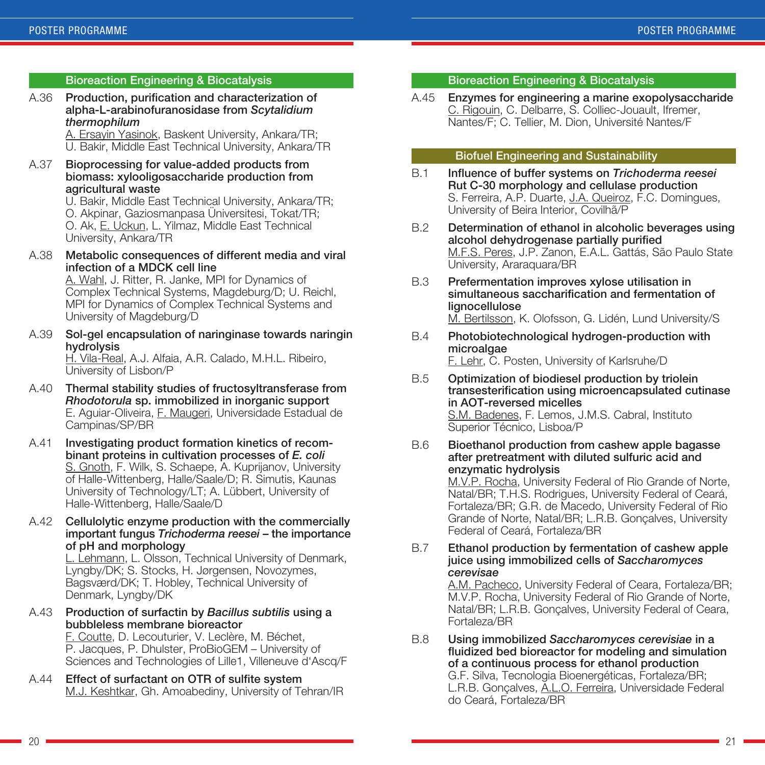#### Bioreaction Engineering & Biocatalysis

A.36 Production, purification and characterization of alpha-L-arabinofuranosidase from *Scytalidium thermophilum*

A. Ersayin Yasinok, Baskent University, Ankara/TR; U. Bakir, Middle East Technical University, Ankara/TR

A.37 Bioprocessing for value-added products from biomass: xylooligosaccharide production from agricultural waste

U. Bakir, Middle East Technical University, Ankara/TR; O. Akpinar, Gaziosmanpasa Üniversitesi, Tokat/TR; O. Ak, E. Uckun, L. Yilmaz, Middle East Technical University, Ankara/TR

A.38 Metabolic consequences of different media and viral infection of a MDCK cell line

A. Wahl, J. Ritter, R. Janke, MPI for Dynamics of Complex Technical Systems, Magdeburg/D; U. Reichl, MPI for Dynamics of Complex Technical Systems and University of Magdeburg/D

A.39 Sol-gel encapsulation of naringinase towards naringin hydrolysis

H. Vila-Real, A.J. Alfaia, A.R. Calado, M.H.L. Ribeiro, University of Lisbon/P

- A.40 Thermal stability studies of fructosyltransferase from *Rhodotorula* sp. immobilized in inorganic support E. Aguiar-Oliveira, F. Maugeri, Universidade Estadual de Campinas/SP/BR
- A.41 Investigating product formation kinetics of recombinant proteins in cultivation processes of *E. coli* S. Gnoth, F. Wilk, S. Schaepe, A. Kuprijanov, University of Halle-Wittenberg, Halle/Saale/D; R. Simutis, Kaunas University of Technology/LT; A. Lübbert, University of Halle-Wittenberg, Halle/Saale/D
- A.42 Cellulolytic enzyme production with the commercially important fungus *Trichoderma reesei* – the importance of pH and morphology

L. Lehmann, L. Olsson, Technical University of Denmark, Lyngby/DK; S. Stocks, H. Jørgensen, Novozymes, Bagsværd/DK; T. Hobley, Technical University of Denmark, Lyngby/DK

A.43 Production of surfactin by *Bacillus subtilis* using a bubbleless membrane bioreactor

F. Coutte, D. Lecouturier, V. Leclère, M. Béchet, P. Jacques, P. Dhulster, ProBioGEM – University of Sciences and Technologies of Lille1, Villeneuve d'Ascq/F

A.44 Effect of surfactant on OTR of sulfite system M.J. Keshtkar, Gh. Amoabediny, University of Tehran/IR

#### Bioreaction Engineering & Biocatalysis

A.45 Enzymes for engineering a marine exopolysaccharide C. Rigouin, C. Delbarre, S. Colliec-Jouault, Ifremer, Nantes/F; C. Tellier, M. Dion, Université Nantes/F

#### Biofuel Engineering and Sustainability

- B.1 Influence of buffer systems on *Trichoderma reesei* Rut C-30 morphology and cellulase production S. Ferreira, A.P. Duarte, J.A. Queiroz, F.C. Domingues, University of Beira Interior, Covilhã/P
- B.2 Determination of ethanol in alcoholic beverages using alcohol dehydrogenase partially purified M.F.S. Peres, J.P. Zanon, E.A.L. Gattás, São Paulo State University, Araraquara/BR
- B.3 Prefermentation improves xylose utilisation in simultaneous saccharification and fermentation of lignocellulose M. Bertilsson, K. Olofsson, G. Lidén, Lund University/S
- B.4 Photobiotechnological hydrogen-production with microalgae F. Lehr, C. Posten, University of Karlsruhe/D
- B.5 Optimization of biodiesel production by triolein transesterification using microencapsulated cutinase in AOT-reversed micelles S.M. Badenes, F. Lemos, J.M.S. Cabral, Instituto Superior Técnico, Lisboa/P

#### B.6 Bioethanol production from cashew apple bagasse after pretreatment with diluted sulfuric acid and enzymatic hydrolysis

M.V.P. Rocha, University Federal of Rio Grande of Norte, Natal/BR; T.H.S. Rodrigues, University Federal of Ceará, Fortaleza/BR; G.R. de Macedo, University Federal of Rio Grande of Norte, Natal/BR; L.R.B. Gonçalves, University Federal of Ceará, Fortaleza/BR

#### B.7 Ethanol production by fermentation of cashew apple juice using immobilized cells of *Saccharomyces cerevisae*

A.M. Pacheco, University Federal of Ceara, Fortaleza/BR; M.V.P. Rocha, University Federal of Rio Grande of Norte, Natal/BR; L.R.B. Gonçalves, University Federal of Ceara, Fortaleza/BR

B.8 Using immobilized *Saccharomyces cerevisiae* in a fluidized bed bioreactor for modeling and simulation of a continuous process for ethanol production G.F. Silva, Tecnologia Bioenergéticas, Fortaleza/BR; L.R.B. Gonçalves, A.L.O. Ferreira, Universidade Federal do Ceará, Fortaleza/BR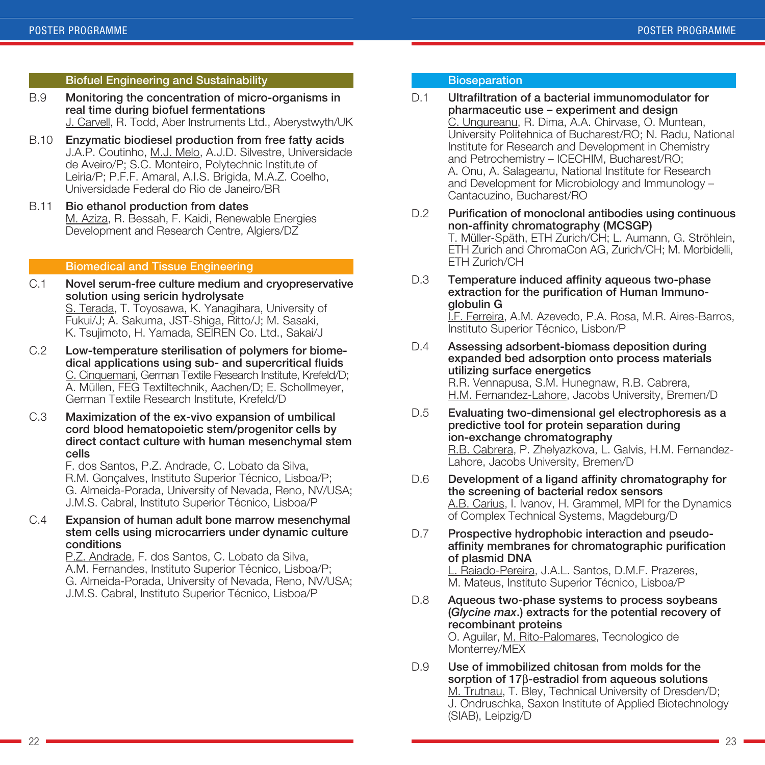#### Biofuel Engineering and Sustainability

- B.9 Monitoring the concentration of micro-organisms in real time during biofuel fermentations J. Carvell, R. Todd, Aber Instruments Ltd., Aberystwyth/UK
- B.10 Enzymatic biodiesel production from free fatty acids J.A.P. Coutinho, M.J. Melo, A.J.D. Silvestre, Universidade de Aveiro/P; S.C. Monteiro, Polytechnic Institute of Leiria/P; P.F.F. Amaral, A.I.S. Brigida, M.A.Z. Coelho, Universidade Federal do Rio de Janeiro/BR
- B.11 Bio ethanol production from dates M. Aziza, R. Bessah, F. Kaidi, Renewable Energies Development and Research Centre, Algiers/DZ

#### Biomedical and Tissue Engineering

- C.1 Novel serum-free culture medium and cryopreservative solution using sericin hydrolysate S. Terada, T. Toyosawa, K. Yanagihara, University of Fukui/J; A. Sakuma, JST-Shiga, Ritto/J; M. Sasaki, K. Tsujimoto, H. Yamada, SEIREN Co. Ltd., Sakai/J
- C.2 Low-temperature sterilisation of polymers for biomedical applications using sub- and supercritical fluids C. Cinquemani, German Textile Research Institute, Krefeld/D; A. Müllen, FEG Textiltechnik, Aachen/D; E. Schollmeyer, German Textile Research Institute, Krefeld/D
- C.3 Maximization of the ex-vivo expansion of umbilical cord blood hematopoietic stem/progenitor cells by direct contact culture with human mesenchymal stem cells

F. dos Santos, P.Z. Andrade, C. Lobato da Silva, R.M. Gonçalves, Instituto Superior Técnico, Lisboa/P; G. Almeida-Porada, University of Nevada, Reno, NV/USA; J.M.S. Cabral, Instituto Superior Técnico, Lisboa/P

C.4 Expansion of human adult bone marrow mesenchymal stem cells using microcarriers under dynamic culture conditions

> P.Z. Andrade, F. dos Santos, C. Lobato da Silva, A.M. Fernandes, Instituto Superior Técnico, Lisboa/P; G. Almeida-Porada, University of Nevada, Reno, NV/USA; J.M.S. Cabral, Instituto Superior Técnico, Lisboa/P

#### **Bioseparation**

#### D.1 Ultrafiltration of a bacterial immunomodulator for pharmaceutic use – experiment and design C. Ungureanu, R. Dima, A.A. Chirvase, O. Muntean, University Politehnica of Bucharest/RO; N. Radu, National Institute for Research and Development in Chemistry and Petrochemistry – ICECHIM, Bucharest/RO; A. Onu, A. Salageanu, National Institute for Research and Development for Microbiology and Immunology – Cantacuzino, Bucharest/RO

- D.2 Purification of monoclonal antibodies using continuous non-affinity chromatography (MCSGP) T. Müller-Späth, ETH Zurich/CH; L. Aumann, G. Ströhlein, ETH Zurich and ChromaCon AG, Zurich/CH; M. Morbidelli, ETH Zurich/CH
- D.3 Temperature induced affinity aqueous two-phase extraction for the purification of Human Immunoglobulin G

I.F. Ferreira, A.M. Azevedo, P.A. Rosa, M.R. Aires-Barros, Instituto Superior Técnico, Lisbon/P

- D.4 Assessing adsorbent-biomass deposition during expanded bed adsorption onto process materials utilizing surface energetics R.R. Vennapusa, S.M. Hunegnaw, R.B. Cabrera, H.M. Fernandez-Lahore, Jacobs University, Bremen/D
- D.5 Evaluating two-dimensional gel electrophoresis as a predictive tool for protein separation during ion-exchange chromatography R.B. Cabrera, P. Zhelyazkova, L. Galvis, H.M. Fernandez-Lahore, Jacobs University, Bremen/D
- D.6 Development of a ligand affinity chromatography for the screening of bacterial redox sensors A.B. Carius, I. Ivanov, H. Grammel, MPI for the Dynamics of Complex Technical Systems, Magdeburg/D
- D.7 Prospective hydrophobic interaction and pseudoaffinity membranes for chromatographic purification of plasmid DNA

L. Raiado-Pereira, J.A.L. Santos, D.M.F. Prazeres, M. Mateus, Instituto Superior Técnico, Lisboa/P

D.8 Aqueous two-phase systems to process soybeans (*Glycine max*.) extracts for the potential recovery of recombinant proteins O. Aguilar, M. Rito-Palomares, Tecnologico de

Monterrey/MEX

D.9 Use of immobilized chitosan from molds for the sorption of 17<sup>B</sup>-estradiol from aqueous solutions M. Trutnau, T. Bley, Technical University of Dresden/D; J. Ondruschka, Saxon Institute of Applied Biotechnology (SIAB), Leipzig/D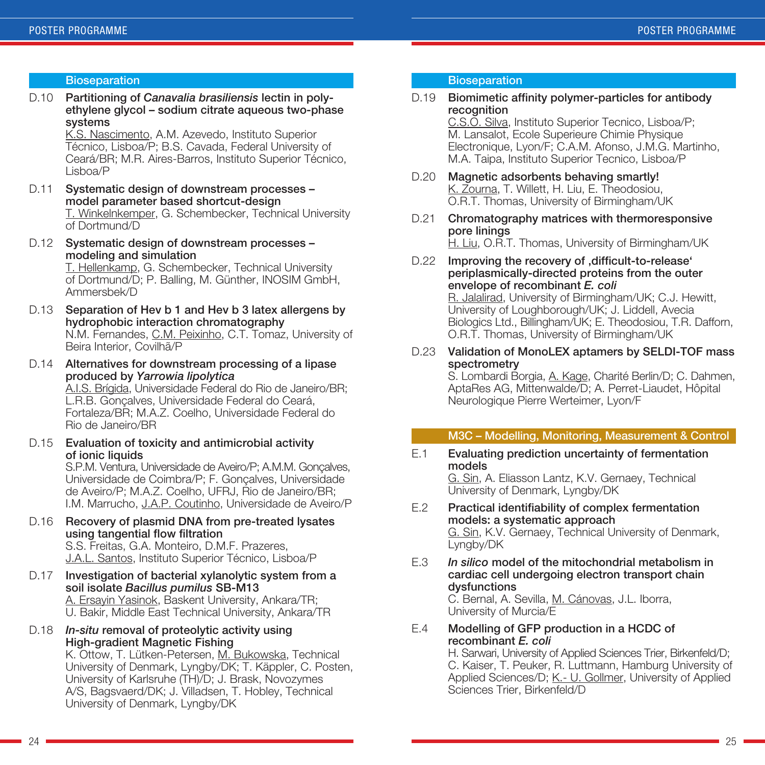#### **Bioseparation**

D.10 Partitioning of *Canavalia brasiliensis* lectin in polyethylene glycol – sodium citrate aqueous two-phase systems

K.S. Nascimento, A.M. Azevedo, Instituto Superior Técnico, Lisboa/P; B.S. Cavada, Federal University of Ceará/BR; M.R. Aires-Barros, Instituto Superior Técnico, Lisboa/P

- D.11 Systematic design of downstream processes model parameter based shortcut-design T. Winkelnkemper, G. Schembecker, Technical University of Dortmund/D
- D.12 Systematic design of downstream processes modeling and simulation

T. Hellenkamp, G. Schembecker, Technical University of Dortmund/D; P. Balling, M. Günther, INOSIM GmbH, Ammersbek/D

- D.13 Separation of Hev b 1 and Hev b 3 latex allergens by hydrophobic interaction chromatography N.M. Fernandes, C.M. Peixinho, C.T. Tomaz, University of Beira Interior, Covilhã/P
- D.14 Alternatives for downstream processing of a lipase produced by *Yarrowia lipolytica* A.I.S. Brígida, Universidade Federal do Rio de Janeiro/BR; L.R.B. Gonçalves, Universidade Federal do Ceará, Fortaleza/BR; M.A.Z. Coelho, Universidade Federal do Rio de Janeiro/BR
- D.15 Evaluation of toxicity and antimicrobial activity of ionic liquids

S.P.M. Ventura, Universidade de Aveiro/P; A.M.M. Gonçalves, Universidade de Coimbra/P; F. Gonçalves, Universidade de Aveiro/P; M.A.Z. Coelho, UFRJ, Rio de Janeiro/BR; I.M. Marrucho, J.A.P. Coutinho, Universidade de Aveiro/P

- D.16 Recovery of plasmid DNA from pre-treated lysates using tangential flow filtration S.S. Freitas, G.A. Monteiro, D.M.F. Prazeres, J.A.L. Santos, Instituto Superior Técnico, Lisboa/P
- D.17 Investigation of bacterial xylanolytic system from a soil isolate *Bacillus pumilus* SB-M13 A. Ersayin Yasinok, Baskent University, Ankara/TR; U. Bakir, Middle East Technical University, Ankara/TR
- D.18 *In-situ* removal of proteolytic activity using High-gradient Magnetic Fishing

K. Ottow, T. Lütken-Petersen, M. Bukowska, Technical University of Denmark, Lyngby/DK; T. Käppler, C. Posten, University of Karlsruhe (TH)/D; J. Brask, Novozymes A/S, Bagsvaerd/DK; J. Villadsen, T. Hobley, Technical University of Denmark, Lyngby/DK

#### **Bioseparation**

D.19 Biomimetic affinity polymer-particles for antibody recognition

C.S.O. Silva, Instituto Superior Tecnico, Lisboa/P; M. Lansalot, Ecole Superieure Chimie Physique Electronique, Lyon/F; C.A.M. Afonso, J.M.G. Martinho, M.A. Taipa, Instituto Superior Tecnico, Lisboa/P

- D.20 Magnetic adsorbents behaving smartly! K. Zourna, T. Willett, H. Liu, E. Theodosiou, O.R.T. Thomas, University of Birmingham/UK
- D.21 Chromatography matrices with thermoresponsive pore linings H. Liu, O.R.T. Thomas, University of Birmingham/UK
- D.22 Improving the recovery of .difficult-to-release' periplasmically-directed proteins from the outer envelope of recombinant *E. coli*

R. Jalalirad, University of Birmingham/UK; C.J. Hewitt, University of Loughborough/UK; J. Liddell, Avecia Biologics Ltd., Billingham/UK; E. Theodosiou, T.R. Dafforn, O.R.T. Thomas, University of Birmingham/UK

D.23 Validation of MonoLEX aptamers by SELDI-TOF mass spectrometry

S. Lombardi Borgia, A. Kage, Charité Berlin/D; C. Dahmen, AptaRes AG, Mittenwalde/D; A. Perret-Liaudet, Hôpital Neurologique Pierre Werteimer, Lyon/F

#### M3C – Modelling, Monitoring, Measurement & Control

E.1 Evaluating prediction uncertainty of fermentation models G. Sin, A. Eliasson Lantz, K.V. Gernaey, Technical

University of Denmark, Lyngby/DK

- E.2 Practical identifiability of complex fermentation models: a systematic approach G. Sin, K.V. Gernaey, Technical University of Denmark, Lyngby/DK
- E.3 *In silico* model of the mitochondrial metabolism in cardiac cell undergoing electron transport chain dysfunctions

C. Bernal, A. Sevilla, M. Cánovas, J.L. Iborra, University of Murcia/E

E.4 Modelling of GFP production in a HCDC of recombinant *E. coli*

H. Sarwari, University of Applied Sciences Trier, Birkenfeld/D; C. Kaiser, T. Peuker, R. Luttmann, Hamburg University of Applied Sciences/D; K.- U. Gollmer, University of Applied Sciences Trier, Birkenfeld/D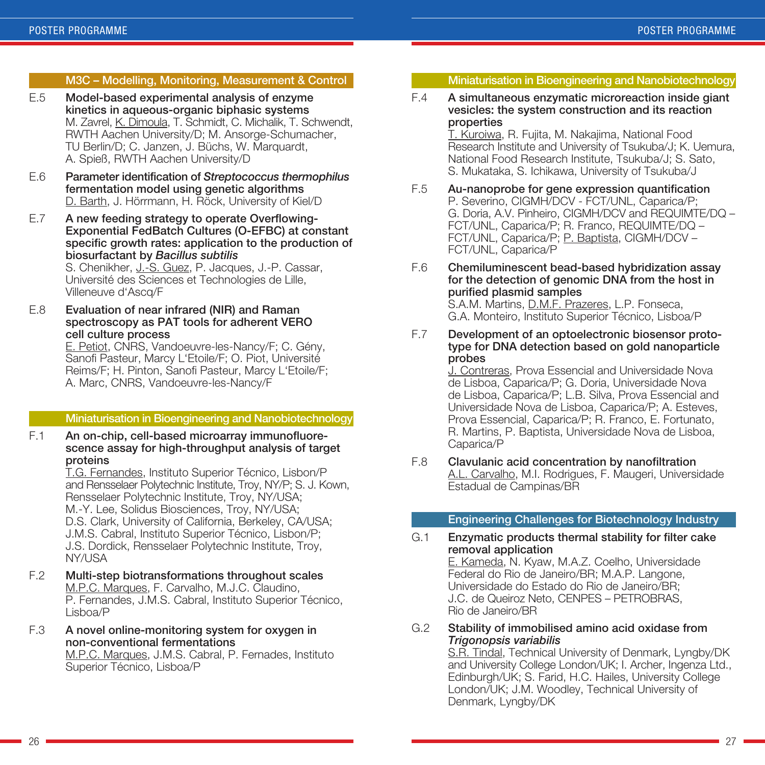#### M3C – Modelling, Monitoring, Measurement & Control

- E.5 Model-based experimental analysis of enzyme kinetics in aqueous-organic biphasic systems M. Zavrel, K. Dimoula, T. Schmidt, C. Michalik, T. Schwendt, RWTH Aachen University/D; M. Ansorge-Schumacher, TU Berlin/D; C. Janzen, J. Büchs, W. Marquardt, A. Spieß, RWTH Aachen University/D
- E.6 Parameter identification of *Streptococcus thermophilus* fermentation model using genetic algorithms D. Barth, J. Hörrmann, H. Röck, University of Kiel/D
- E.7 A new feeding strategy to operate Overflowing-Exponential FedBatch Cultures (O-EFBC) at constant specific growth rates: application to the production of biosurfactant by *Bacillus subtilis*

S. Chenikher, J.-S. Guez, P. Jacques, J.-P. Cassar, Université des Sciences et Technologies de Lille, Villeneuve d'Ascq/F

E.8 Evaluation of near infrared (NIR) and Raman spectroscopy as PAT tools for adherent VERO cell culture process

E. Petiot, CNRS, Vandoeuvre-les-Nancy/F; C. Gény, Sanofi Pasteur, Marcy L'Etoile/F; O. Piot, Université Reims/F; H. Pinton, Sanofi Pasteur, Marcy L'Etoile/F; A. Marc, CNRS, Vandoeuvre-les-Nancy/F

#### Miniaturisation in Bioengineering and Nanobiotechnology

F.1 An on-chip, cell-based microarray immunofluorescence assay for high-throughput analysis of target proteins

T.G. Fernandes, Instituto Superior Técnico, Lisbon/P and Rensselaer Polytechnic Institute, Troy, NY/P; S. J. Kown, Rensselaer Polytechnic Institute, Troy, NY/USA; M.-Y. Lee, Solidus Biosciences, Troy, NY/USA; D.S. Clark, University of California, Berkeley, CA/USA; J.M.S. Cabral, Instituto Superior Técnico, Lisbon/P; J.S. Dordick, Rensselaer Polytechnic Institute, Troy, NY/LISA

F.2 Multi-step biotransformations throughout scales M.P.C. Marques, F. Carvalho, M.J.C. Claudino, P. Fernandes, J.M.S. Cabral, Instituto Superior Técnico, Lisboa/P

#### F.3 A novel online-monitoring system for oxygen in non-conventional fermentations

M.P.C. Marques, J.M.S. Cabral, P. Fernades, Instituto Superior Técnico, Lisboa/P

#### Miniaturisation in Bioengineering and Nanobiotechnology

#### F.4 A simultaneous enzymatic microreaction inside giant vesicles: the system construction and its reaction properties

T. Kuroiwa, R. Fujita, M. Nakajima, National Food Research Institute and University of Tsukuba/J; K. Uemura, National Food Research Institute, Tsukuba/J; S. Sato, S. Mukataka, S. Ichikawa, University of Tsukuba/J

F.5 Au-nanoprobe for gene expression quantification P. Severino, CIGMH/DCV - FCT/UNL, Caparica/P; G. Doria, A.V. Pinheiro, CIGMH/DCV and REQUIMTE/DQ – FCT/UNL, Caparica/P; R. Franco, REQUIMTE/DQ – FCT/UNL, Caparica/P; P. Baptista, CIGMH/DCV -FCT/UNL, Caparica/P

#### F.6 Chemiluminescent bead-based hybridization assay for the detection of genomic DNA from the host in purified plasmid samples

S.A.M. Martins, D.M.F. Prazeres, L.P. Fonseca, G.A. Monteiro, Instituto Superior Técnico, Lisboa/P

F.7 Development of an optoelectronic biosensor prototype for DNA detection based on gold nanoparticle probes

J. Contreras, Prova Essencial and Universidade Nova de Lisboa, Caparica/P; G. Doria, Universidade Nova de Lisboa, Caparica/P; L.B. Silva, Prova Essencial and Universidade Nova de Lisboa, Caparica/P; A. Esteves, Prova Essencial, Caparica/P; R. Franco, E. Fortunato, R. Martins, P. Baptista, Universidade Nova de Lisboa, Caparica/P

F.8 Clavulanic acid concentration by nanofiltration A.L. Carvalho, M.I. Rodrigues, F. Maugeri, Universidade Estadual de Campinas/BR

#### Engineering Challenges for Biotechnology Industry

#### G.1 Enzymatic products thermal stability for filter cake removal application

E. Kameda, N. Kyaw, M.A.Z. Coelho, Universidade Federal do Rio de Janeiro/BR; M.A.P. Langone, Universidade do Estado do Rio de Janeiro/BR; J.C. de Queiroz Neto, CENPES – PETROBRAS, Rio de Janeiro/BR

G.2 Stability of immobilised amino acid oxidase from *Trigonopsis variabilis*

S.R. Tindal, Technical University of Denmark, Lyngby/DK and University College London/UK; I. Archer, Ingenza Ltd., Edinburgh/UK; S. Farid, H.C. Hailes, University College London/UK; J.M. Woodley, Technical University of Denmark, Lyngby/DK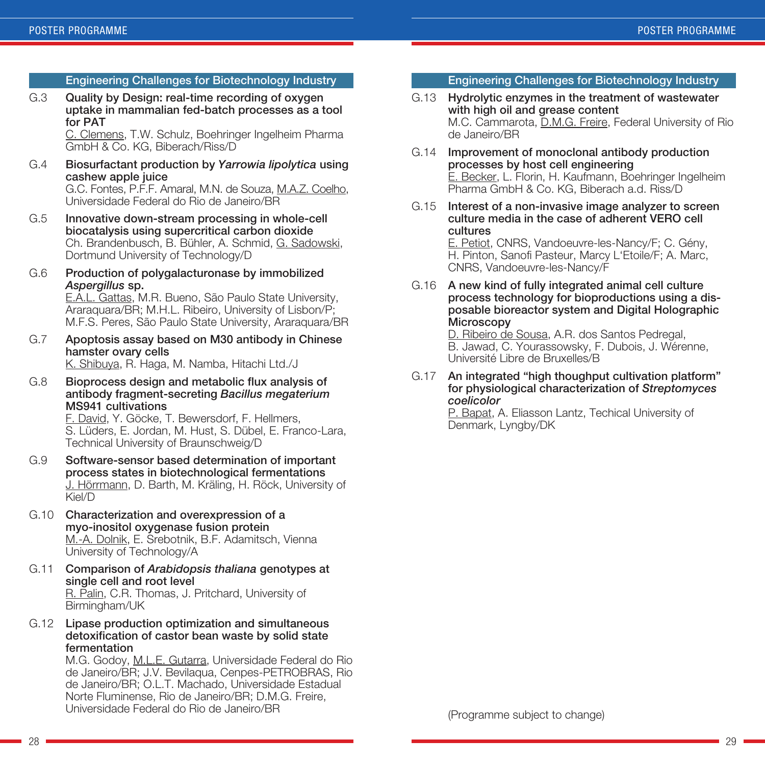#### Engineering Challenges for Biotechnology Industry

G.3 Quality by Design: real-time recording of oxygen uptake in mammalian fed-batch processes as a tool for PAT

C. Clemens, T.W. Schulz, Boehringer Ingelheim Pharma GmbH & Co. KG, Biberach/Riss/D

G.4 Biosurfactant production by *Yarrowia lipolytica* using cashew apple juice

G.C. Fontes, P.F.F. Amaral, M.N. de Souza, M.A.Z. Coelho, Universidade Federal do Rio de Janeiro/BR

- G.5 Innovative down-stream processing in whole-cell biocatalysis using supercritical carbon dioxide Ch. Brandenbusch, B. Bühler, A. Schmid, G. Sadowski, Dortmund University of Technology/D
- G.6 Production of polygalacturonase by immobilized *Aspergillus* sp.

E.A.L. Gattas, M.R. Bueno, São Paulo State University, Araraquara/BR; M.H.L. Ribeiro, University of Lisbon/P; M.F.S. Peres, São Paulo State University, Araraquara/BR

G.7 Apoptosis assay based on M30 antibody in Chinese hamster ovary cells

K. Shibuya, R. Haga, M. Namba, Hitachi Ltd./J

G.8 Bioprocess design and metabolic flux analysis of antibody fragment-secreting *Bacillus megaterium* MS941 cultivations

F. David, Y. Göcke, T. Bewersdorf, F. Hellmers, S. Lüders, E. Jordan, M. Hust, S. Dübel, E. Franco-Lara, Technical University of Braunschweig/D

- G.9 Software-sensor based determination of important process states in biotechnological fermentations J. Hörrmann, D. Barth, M. Kräling, H. Röck, University of Kiel/D
- G.10 Characterization and overexpression of a myo-inositol oxygenase fusion protein M.-A. Dolnik, E. Srebotnik, B.F. Adamitsch, Vienna University of Technology/A
- G.11 Comparison of *Arabidopsis thaliana* genotypes at single cell and root level R. Palin, C.R. Thomas, J. Pritchard, University of Birmingham/UK
- G.12 Lipase production optimization and simultaneous detoxification of castor bean waste by solid state fermentation

M.G. Godoy, M.L.E. Gutarra, Universidade Federal do Rio de Janeiro/BR; J.V. Bevilaqua, Cenpes-PETROBRAS, Rio de Janeiro/BR; O.L.T. Machado, Universidade Estadual Norte Fluminense, Rio de Janeiro/BR; D.M.G. Freire, Universidade Federal do Rio de Janeiro/BR

Engineering Challenges for Biotechnology Industry

- G.13 Hydrolytic enzymes in the treatment of wastewater with high oil and grease content M.C. Cammarota, D.M.G. Freire, Federal University of Rio de Janeiro/BR
- G.14 Improvement of monoclonal antibody production processes by host cell engineering E. Becker, L. Florin, H. Kaufmann, Boehringer Ingelheim Pharma GmbH & Co. KG, Biberach a.d. Riss/D
- G.15 Interest of a non-invasive image analyzer to screen culture media in the case of adherent VERO cell cultures

E. Petiot, CNRS, Vandoeuvre-les-Nancy/F; C. Gény, H. Pinton, Sanofi Pasteur, Marcy L'Etoile/F; A. Marc, CNRS, Vandoeuvre-les-Nancy/F

G.16 A new kind of fully integrated animal cell culture process technology for bioproductions using a disposable bioreactor system and Digital Holographic **Microscopy** 

D. Ribeiro de Sousa, A.R. dos Santos Pedregal, B. Jawad, C. Yourassowsky, F. Dubois, J. Wérenne, Université Libre de Bruxelles/B

G.17 An integrated "high thoughput cultivation platform" for physiological characterization of *Streptomyces coelicolor*

P. Bapat, A. Eliasson Lantz, Techical University of Denmark, Lyngby/DK

(Programme subject to change)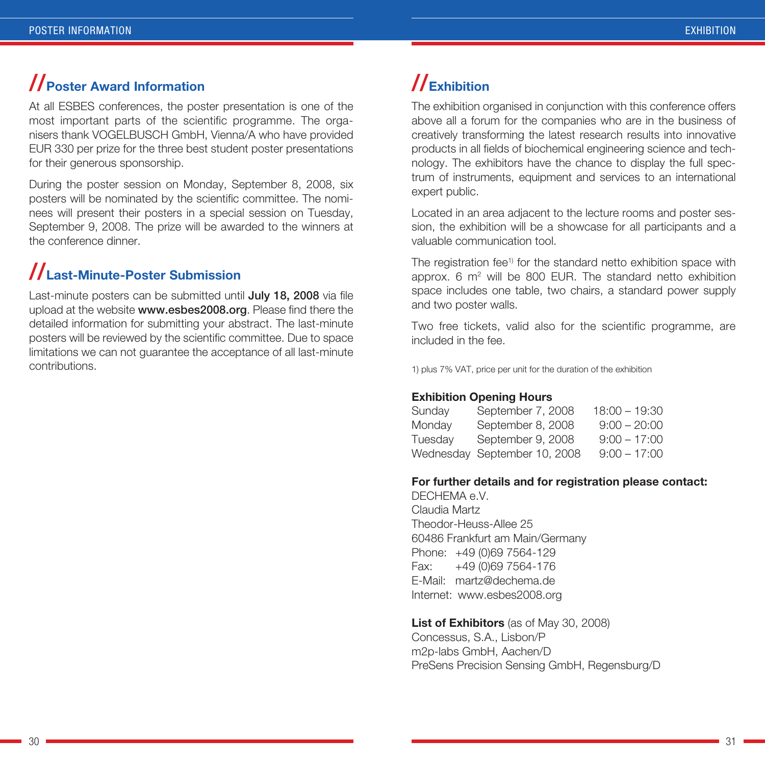### **//Poster Award Information**

At all ESBES conferences, the poster presentation is one of the most important parts of the scientific programme. The organisers thank VOGELBUSCH GmbH, Vienna/A who have provided EUR 330 per prize for the three best student poster presentations for their generous sponsorship.

During the poster session on Monday, September 8, 2008, six posters will be nominated by the scientific committee. The nominees will present their posters in a special session on Tuesday, September 9, 2008. The prize will be awarded to the winners at the conference dinner.

## **//Last-Minute-Poster Submission**

Last-minute posters can be submitted until July 18, 2008 via file upload at the website www.esbes2008.org. Please find there the detailed information for submitting your abstract. The last-minute posters will be reviewed by the scientific committee. Due to space limitations we can not guarantee the acceptance of all last-minute contributions.

## **//Exhibition**

The exhibition organised in conjunction with this conference offers above all a forum for the companies who are in the business of creatively transforming the latest research results into innovative products in all fields of biochemical engineering science and technology. The exhibitors have the chance to display the full spectrum of instruments, equipment and services to an international expert public.

Located in an area adjacent to the lecture rooms and poster session, the exhibition will be a showcase for all participants and a valuable communication tool.

The registration fee<sup>1)</sup> for the standard netto exhibition space with approx.  $6 \text{ m}^2$  will be 800 EUR. The standard netto exhibition space includes one table, two chairs, a standard power supply and two poster walls.

Two free tickets, valid also for the scientific programme, are included in the fee.

1) plus 7% VAT, price per unit for the duration of the exhibition

#### **Exhibition Opening Hours**

| Sunday  | September 7, 2008            | $18:00 - 19:30$ |
|---------|------------------------------|-----------------|
| Monday  | September 8, 2008            | $9:00 - 20:00$  |
| Tuesday | September 9, 2008            | $9:00 - 17:00$  |
|         | Wednesday September 10, 2008 | $9:00 - 17:00$  |

#### **For further details and for registration please contact:**

DECHEMA e.V. Claudia Martz Theodor-Heuss-Allee 25 60486 Frankfurt am Main/Germany Phone: +49 (0)69 7564-129 Fax: +49 (0)69 7564-176 E-Mail: martz@dechema.de Internet: www.esbes2008.org

**List of Exhibitors** (as of May 30, 2008) Concessus, S.A., Lisbon/P m2p-labs GmbH, Aachen/D PreSens Precision Sensing GmbH, Regensburg/D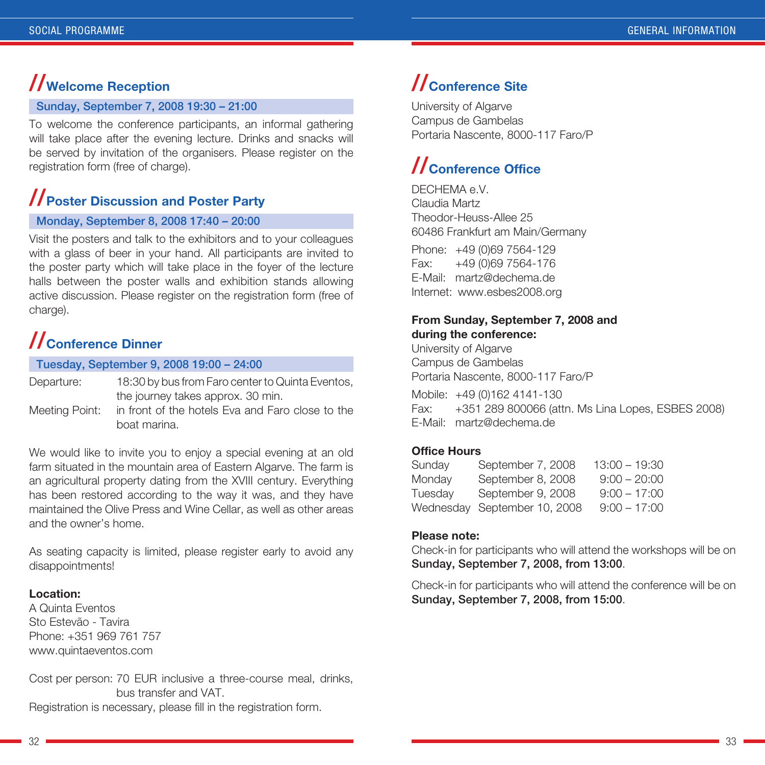### **//Welcome Reception**

#### Sunday, September 7, 2008 19:30 – 21:00

To welcome the conference participants, an informal gathering will take place after the evening lecture. Drinks and snacks will be served by invitation of the organisers. Please register on the registration form (free of charge).

### **//Poster Discussion and Poster Party**

#### Monday, September 8, 2008 17:40 – 20:00

Visit the posters and talk to the exhibitors and to your colleagues with a glass of beer in your hand. All participants are invited to the poster party which will take place in the foyer of the lecture halls between the poster walls and exhibition stands allowing active discussion. Please register on the registration form (free of charge).

## **//Conference Dinner**

Tuesday, September 9, 2008 19:00 – 24:00

| Departure:     | 18:30 by bus from Faro center to Quinta Eventos, |  |
|----------------|--------------------------------------------------|--|
|                | the journey takes approx. 30 min.                |  |
| Meeting Point: | in front of the hotels Eva and Faro close to the |  |

boat marina.

We would like to invite you to enjoy a special evening at an old farm situated in the mountain area of Eastern Algarve. The farm is an agricultural property dating from the XVIII century. Everything has been restored according to the way it was, and they have maintained the Olive Press and Wine Cellar, as well as other areas and the owner's home.

As seating capacity is limited, please register early to avoid any disappointments!

#### **Location:**

A Quinta Eventos Sto Estevão - Tavira Phone: +351 969 761 757 www.quintaeventos.com

Cost per person: 70 EUR inclusive a three-course meal, drinks, bus transfer and VAT.

Registration is necessary, please fill in the registration form.

## **//Conference Site**

University of Algarve Campus de Gambelas Portaria Nascente, 8000-117 Faro/P

## **//Conference Office**

DECHEMA e.V. Claudia Martz Theodor-Heuss-Allee 25 60486 Frankfurt am Main/Germany Phone: +49 (0)69 7564-129 Fax: +49 (0)69 7564-176 E-Mail: martz@dechema.de Internet: www.esbes2008.org

#### **From Sunday, September 7, 2008 and during the conference:**

University of Algarve Campus de Gambelas Portaria Nascente, 8000-117 Faro/P

Mobile: +49 (0)162 4141-130 Fax: +351 289 800066 (attn. Ms Lina Lopes, ESBES 2008) E-Mail: martz@dechema.de

#### **Office Hours**

| Sunday  | September 7, 2008            | 13:00 – 19:30  |
|---------|------------------------------|----------------|
| Monday  | September 8, 2008            | $9:00 - 20:00$ |
| Tuesday | September 9, 2008            | $9:00 - 17:00$ |
|         | Wednesday September 10, 2008 | $9:00 - 17:00$ |

#### **Please note:**

Check-in for participants who will attend the workshops will be on Sunday, September 7, 2008, from 13:00.

Check-in for participants who will attend the conference will be on Sunday, September 7, 2008, from 15:00.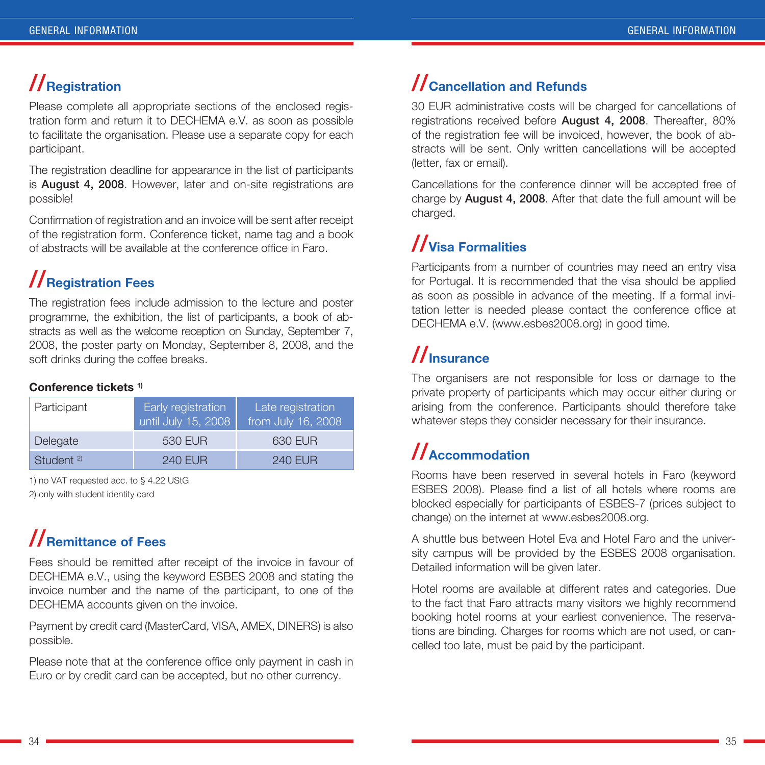## **//Registration**

Please complete all appropriate sections of the enclosed registration form and return it to DECHEMA e.V. as soon as possible to facilitate the organisation. Please use a separate copy for each participant.

The registration deadline for appearance in the list of participants is August 4, 2008. However, later and on-site registrations are possible!

Confirmation of registration and an invoice will be sent after receipt of the registration form. Conference ticket, name tag and a book of abstracts will be available at the conference office in Faro.

## **//Registration Fees**

The registration fees include admission to the lecture and poster programme, the exhibition, the list of participants, a book of abstracts as well as the welcome reception on Sunday, September 7, 2008, the poster party on Monday, September 8, 2008, and the soft drinks during the coffee breaks.

#### **Conference tickets 1)**

| Participant           | Early registration<br>until July 15, 2008 | Late registration<br>from July 16, 2008 |
|-----------------------|-------------------------------------------|-----------------------------------------|
| Delegate              | 530 EUR                                   | 630 EUR                                 |
| Student <sup>2)</sup> | <b>240 EUR</b>                            | <b>240 EUR</b>                          |

1) no VAT requested acc. to § 4.22 UStG

2) only with student identity card

## **//Remittance of Fees**

Fees should be remitted after receipt of the invoice in favour of DECHEMA e.V., using the keyword ESBES 2008 and stating the invoice number and the name of the participant, to one of the DECHEMA accounts given on the invoice.

Payment by credit card (MasterCard, VISA, AMEX, DINERS) is also possible.

Please note that at the conference office only payment in cash in Euro or by credit card can be accepted, but no other currency.

## **//Cancellation and Refunds**

30 EUR administrative costs will be charged for cancellations of registrations received before **August 4, 2008**. Thereafter, 80% of the registration fee will be invoiced, however, the book of abstracts will be sent. Only written cancellations will be accepted (letter, fax or email).

Cancellations for the conference dinner will be accepted free of charge by **August 4, 2008**. After that date the full amount will be charged.

## **//Visa Formalities**

Participants from a number of countries may need an entry visa for Portugal. It is recommended that the visa should be applied as soon as possible in advance of the meeting. If a formal invitation letter is needed please contact the conference office at DECHEMA e.V. (www.esbes2008.org) in good time.

## **//Insurance**

The organisers are not responsible for loss or damage to the private property of participants which may occur either during or arising from the conference. Participants should therefore take whatever steps they consider necessary for their insurance.

## **//Accommodation**

Rooms have been reserved in several hotels in Faro (keyword ESBES 2008). Please find a list of all hotels where rooms are blocked especially for participants of ESBES-7 (prices subject to change) on the internet at www.esbes2008.org.

A shuttle bus between Hotel Eva and Hotel Faro and the university campus will be provided by the ESBES 2008 organisation. Detailed information will be given later.

Hotel rooms are available at different rates and categories. Due to the fact that Faro attracts many visitors we highly recommend booking hotel rooms at your earliest convenience. The reservations are binding. Charges for rooms which are not used, or cancelled too late, must be paid by the participant.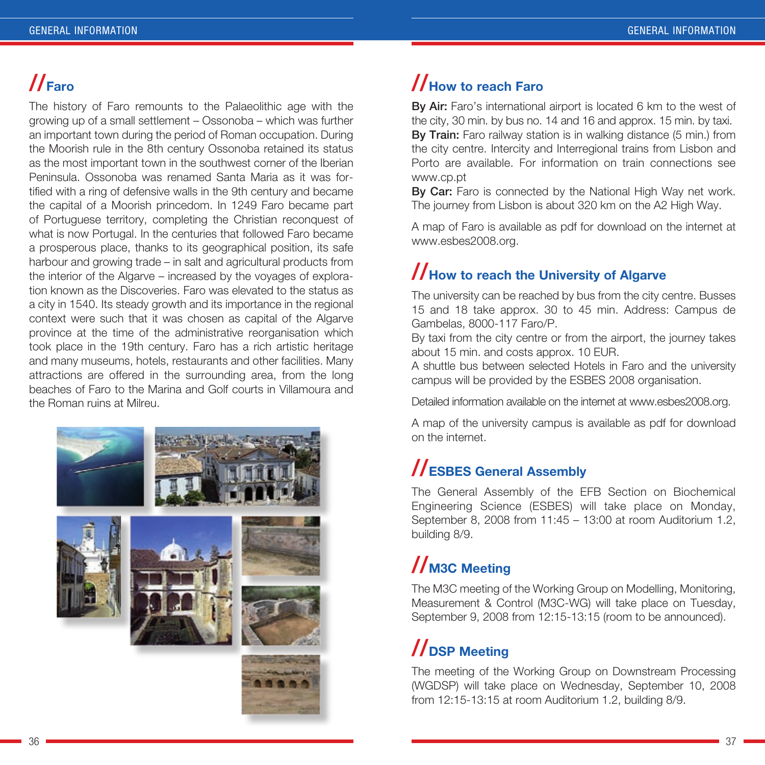## **//Faro**

The history of Faro remounts to the Palaeolithic age with the growing up of a small settlement – Ossonoba – which was further an important town during the period of Roman occupation. During the Moorish rule in the 8th century Ossonoba retained its status as the most important town in the southwest corner of the Iberian Peninsula. Ossonoba was renamed Santa Maria as it was fortified with a ring of defensive walls in the 9th century and became the capital of a Moorish princedom. In 1249 Faro became part of Portuguese territory, completing the Christian reconquest of what is now Portugal. In the centuries that followed Faro became a prosperous place, thanks to its geographical position, its safe harbour and growing trade – in salt and agricultural products from the interior of the Algarve – increased by the voyages of exploration known as the Discoveries. Faro was elevated to the status as a city in 1540. Its steady growth and its importance in the regional context were such that it was chosen as capital of the Algarve province at the time of the administrative reorganisation which took place in the 19th century. Faro has a rich artistic heritage and many museums, hotels, restaurants and other facilities. Many attractions are offered in the surrounding area, from the long beaches of Faro to the Marina and Golf courts in Villamoura and the Roman ruins at Milreu.



## **//How to reach Faro**

By Air: Faro's international airport is located 6 km to the west of the city, 30 min. by bus no. 14 and 16 and approx. 15 min. by taxi. By Train: Faro railway station is in walking distance (5 min.) from the city centre. Intercity and Interregional trains from Lisbon and Porto are available. For information on train connections see www.cp.pt

By Car: Faro is connected by the National High Way net work. The journey from Lisbon is about 320 km on the A2 High Way.

A map of Faro is available as pdf for download on the internet at www.esbes2008.org.

## **//How to reach the University of Algarve**

The university can be reached by bus from the city centre. Busses 15 and 18 take approx. 30 to 45 min. Address: Campus de Gambelas, 8000-117 Faro/P.

By taxi from the city centre or from the airport, the journey takes about 15 min. and costs approx. 10 EUR.

A shuttle bus between selected Hotels in Faro and the university campus will be provided by the ESBES 2008 organisation.

Detailed information available on the internet at www.esbes2008.org.

A map of the university campus is available as pdf for download on the internet.

### **//ESBES General Assembly**

The General Assembly of the EFB Section on Biochemical Engineering Science (ESBES) will take place on Monday, September 8, 2008 from 11:45 – 13:00 at room Auditorium 1.2, building 8/9.

## **//M3C Meeting**

The M3C meeting of the Working Group on Modelling, Monitoring, Measurement & Control (M3C-WG) will take place on Tuesday, September 9, 2008 from 12:15-13:15 (room to be announced).

## **//DSP Meeting**

The meeting of the Working Group on Downstream Processing (WGDSP) will take place on Wednesday, September 10, 2008 from 12:15-13:15 at room Auditorium 1.2, building 8/9.